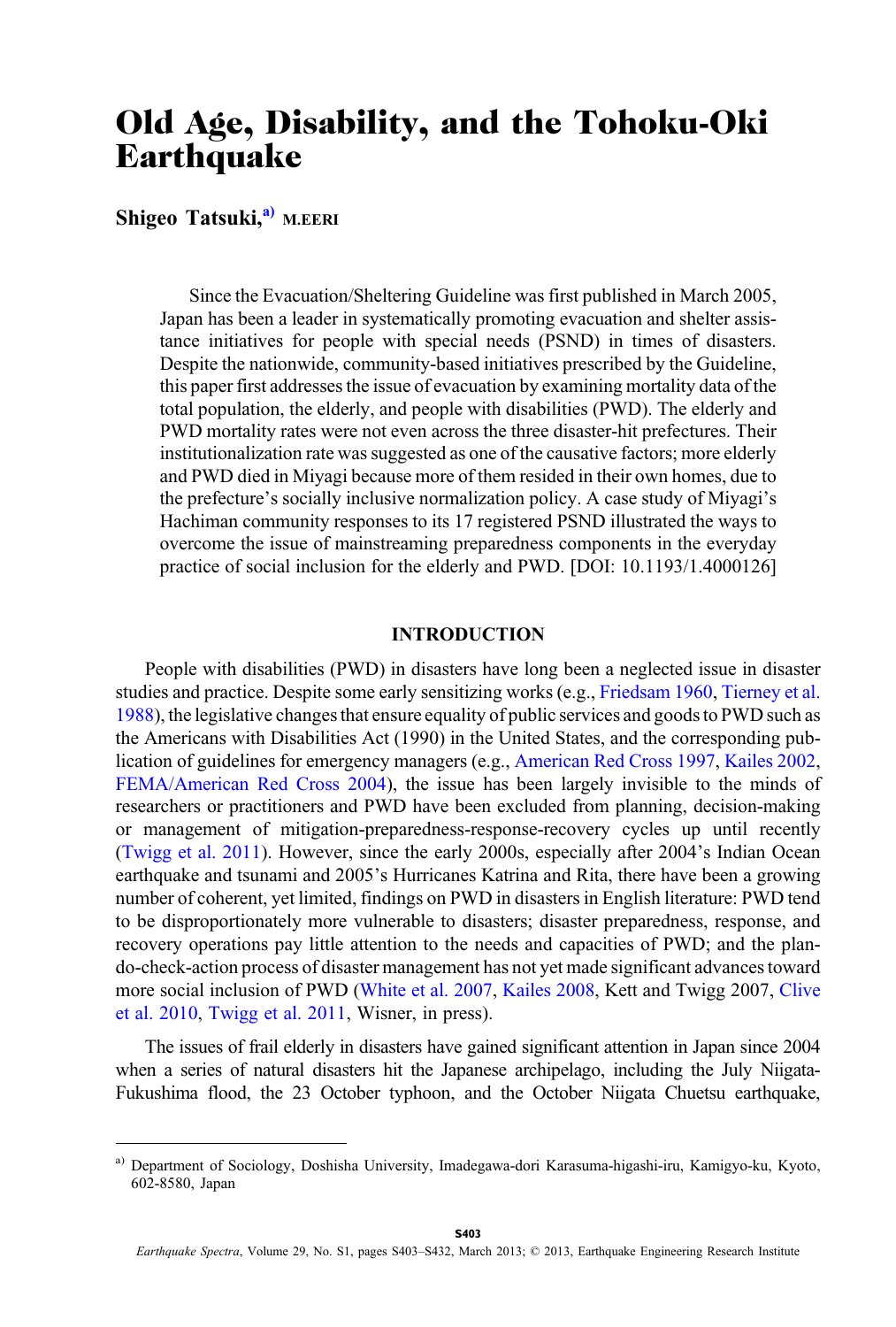# Old Age, Disability, and the Tohoku-Oki **Earthquake**

Shigeo Tatsuki,<sup>a)</sup> M.EERI

Since the Evacuation/Sheltering Guideline was first published in March 2005, Japan has been a leader in systematically promoting evacuation and shelter assistance initiatives for people with special needs (PSND) in times of disasters. Despite the nationwide, community-based initiatives prescribed by the Guideline, this paper first addresses the issue of evacuation by examining mortality data of the total population, the elderly, and people with disabilities (PWD). The elderly and PWD mortality rates were not even across the three disaster-hit prefectures. Their institutionalization rate was suggested as one of the causative factors; more elderly and PWD died in Miyagi because more of them resided in their own homes, due to the prefecture's socially inclusive normalization policy. A case study of Miyagi's Hachiman community responses to its 17 registered PSND illustrated the ways to overcome the issue of mainstreaming preparedness components in the everyday practice of social inclusion for the elderly and PWD. [DOI: 10.1193/1.4000126]

## **INTRODUCTION INTERNATIONAL**

People with disabilities (PWD) in disasters have long been a neglected issue in disaster studies and practice. Despite some early sensitizing works (e.g., [Friedsam 1960,](#page-27-0) [Tierney et al.](#page-29-0) [1988\)](#page-29-0), the legislative changes that ensure equality of public services and goods to PWD such as the Americans with Disabilities Act (1990) in the United States, and the corresponding publication of guidelines for emergency managers (e.g., [American Red Cross 1997](#page-27-0), [Kailes 2002,](#page-28-0) [FEMA/American Red Cross 2004\)](#page-27-0), the issue has been largely invisible to the minds of researchers or practitioners and PWD have been excluded from planning, decision-making or management of mitigation-preparedness-response-recovery cycles up until recently [\(Twigg et al. 2011\)](#page-29-0). However, since the early 2000s, especially after 2004's Indian Ocean earthquake and tsunami and 2005's Hurricanes Katrina and Rita, there have been a growing number of coherent, yet limited, findings on PWD in disasters in English literature: PWD tend to be disproportionately more vulnerable to disasters; disaster preparedness, response, and recovery operations pay little attention to the needs and capacities of PWD; and the plando-check-action process of disaster management has not yet made significant advances toward more social inclusion of PWD [\(White et al. 2007](#page-29-0), [Kailes 2008,](#page-28-0) Kett and Twigg 2007, [Clive](#page-27-0) [et al. 2010](#page-27-0), [Twigg et al. 2011,](#page-29-0) Wisner, in press).

The issues of frail elderly in disasters have gained significant attention in Japan since 2004 when a series of natural disasters hit the Japanese archipelago, including the July Niigata-Fukushima flood, the 23 October typhoon, and the October Niigata Chuetsu earthquake,

a) Department of Sociology, Doshisha University, Imadegawa-dori Karasuma-higashi-iru, Kamigyo-ku, Kyoto, 602-8580, Japan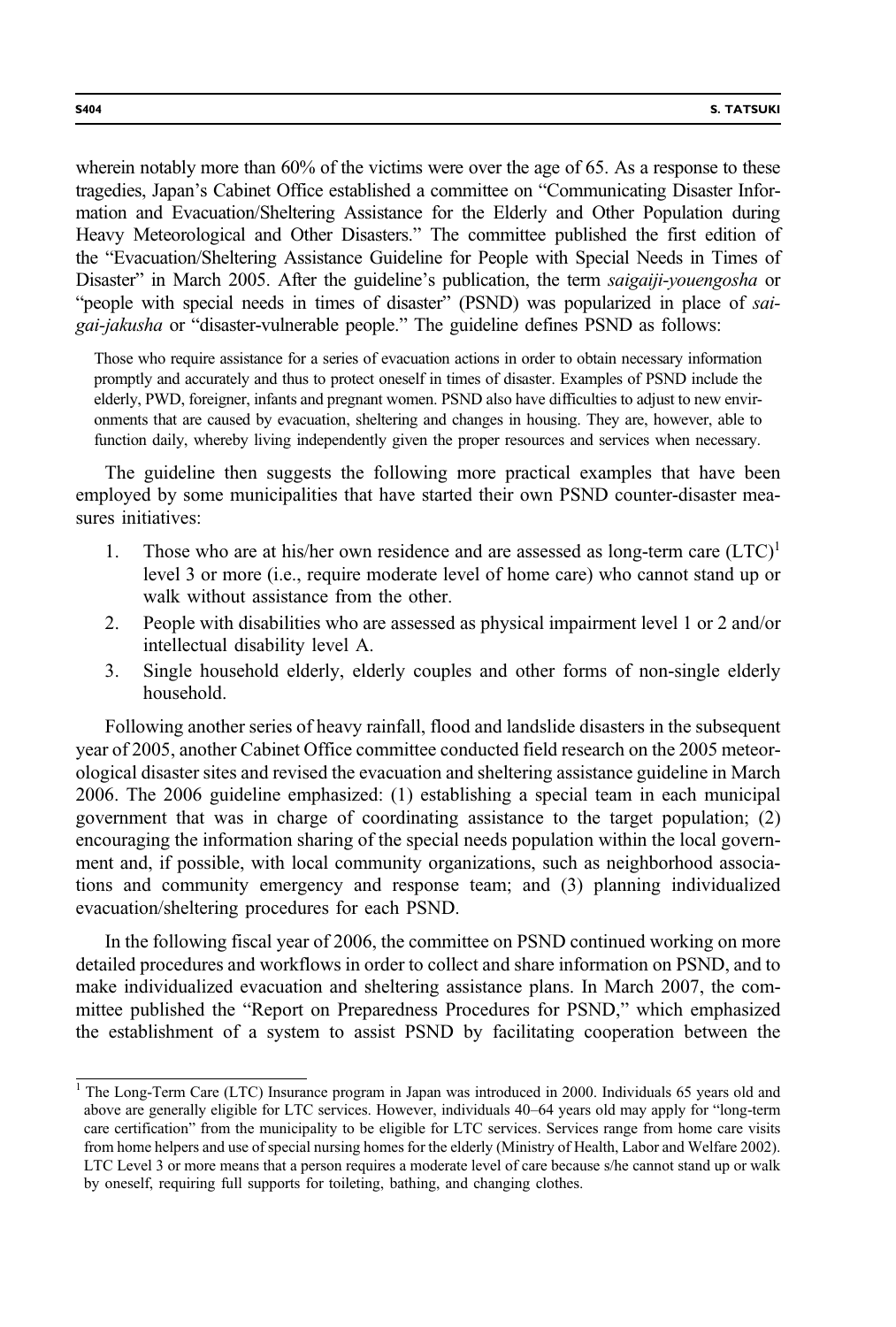wherein notably more than 60% of the victims were over the age of 65. As a response to these tragedies, Japan's Cabinet Office established a committee on "Communicating Disaster Information and Evacuation/Sheltering Assistance for the Elderly and Other Population during Heavy Meteorological and Other Disasters." The committee published the first edition of the "Evacuation/Sheltering Assistance Guideline for People with Special Needs in Times of Disaster" in March 2005. After the guideline's publication, the term *saigaiji-youengosha* or "people with special needs in times of disaster" (PSND) was popularized in place of saigai-jakusha or "disaster-vulnerable people." The guideline defines PSND as follows:

Those who require assistance for a series of evacuation actions in order to obtain necessary information promptly and accurately and thus to protect oneself in times of disaster. Examples of PSND include the elderly, PWD, foreigner, infants and pregnant women. PSND also have difficulties to adjust to new environments that are caused by evacuation, sheltering and changes in housing. They are, however, able to function daily, whereby living independently given the proper resources and services when necessary.

The guideline then suggests the following more practical examples that have been employed by some municipalities that have started their own PSND counter-disaster measures initiatives:

- 1. Those who are at his/her own residence and are assessed as long-term care  $(LTC)^{1}$ level 3 or more (i.e., require moderate level of home care) who cannot stand up or walk without assistance from the other.
- 2. People with disabilities who are assessed as physical impairment level 1 or 2 and/or intellectual disability level A.
- 3. Single household elderly, elderly couples and other forms of non-single elderly household.

Following another series of heavy rainfall, flood and landslide disasters in the subsequent year of 2005, another Cabinet Office committee conducted field research on the 2005 meteorological disaster sites and revised the evacuation and sheltering assistance guideline in March 2006. The 2006 guideline emphasized: (1) establishing a special team in each municipal government that was in charge of coordinating assistance to the target population; (2) encouraging the information sharing of the special needs population within the local government and, if possible, with local community organizations, such as neighborhood associations and community emergency and response team; and (3) planning individualized evacuation/sheltering procedures for each PSND.

In the following fiscal year of 2006, the committee on PSND continued working on more detailed procedures and workflows in order to collect and share information on PSND, and to make individualized evacuation and sheltering assistance plans. In March 2007, the committee published the "Report on Preparedness Procedures for PSND," which emphasized the establishment of a system to assist PSND by facilitating cooperation between the

<sup>&</sup>lt;sup>1</sup> The Long-Term Care (LTC) Insurance program in Japan was introduced in 2000. Individuals 65 years old and above are generally eligible for LTC services. However, individuals 40–64 years old may apply for "long-term care certification" from the municipality to be eligible for LTC services. Services range from home care visits from home helpers and use of special nursing homes for the elderly (Ministry of Health, Labor and Welfare 2002). LTC Level 3 or more means that a person requires a moderate level of care because s/he cannot stand up or walk by oneself, requiring full supports for toileting, bathing, and changing clothes.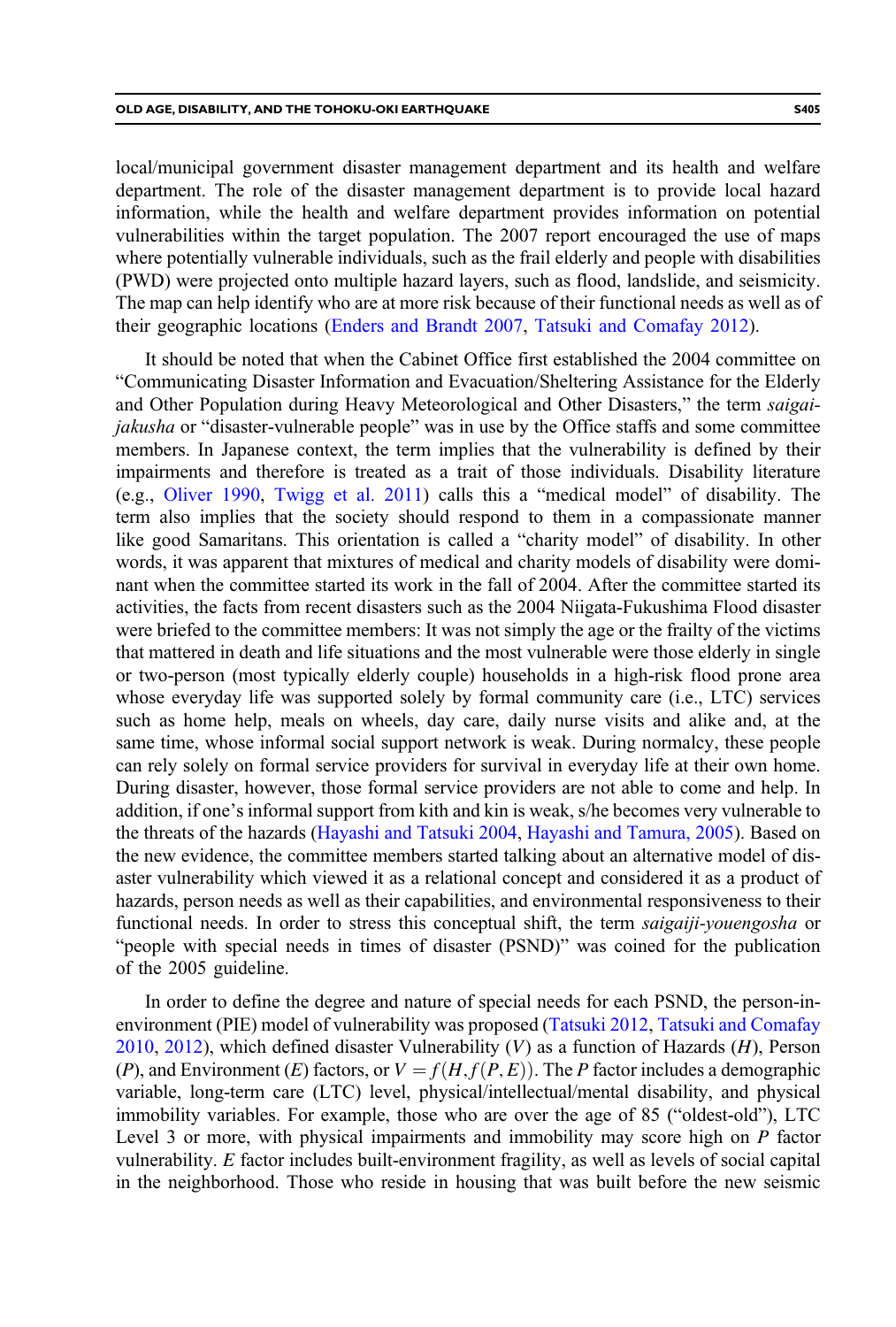local/municipal government disaster management department and its health and welfare department. The role of the disaster management department is to provide local hazard information, while the health and welfare department provides information on potential vulnerabilities within the target population. The 2007 report encouraged the use of maps where potentially vulnerable individuals, such as the frail elderly and people with disabilities (PWD) were projected onto multiple hazard layers, such as flood, landslide, and seismicity. The map can help identify who are at more risk because of their functional needs as well as of their geographic locations ([Enders and Brandt 2007,](#page-27-0) [Tatsuki and Comafay 2012](#page-29-0)).

It should be noted that when the Cabinet Office first established the 2004 committee on "Communicating Disaster Information and Evacuation/Sheltering Assistance for the Elderly and Other Population during Heavy Meteorological and Other Disasters," the term saigaijakusha or "disaster-vulnerable people" was in use by the Office staffs and some committee members. In Japanese context, the term implies that the vulnerability is defined by their impairments and therefore is treated as a trait of those individuals. Disability literature (e.g., [Oliver 1990](#page-28-0), [Twigg et al. 2011\)](#page-29-0) calls this a "medical model" of disability. The term also implies that the society should respond to them in a compassionate manner like good Samaritans. This orientation is called a "charity model" of disability. In other words, it was apparent that mixtures of medical and charity models of disability were dominant when the committee started its work in the fall of 2004. After the committee started its activities, the facts from recent disasters such as the 2004 Niigata-Fukushima Flood disaster were briefed to the committee members: It was not simply the age or the frailty of the victims that mattered in death and life situations and the most vulnerable were those elderly in single or two-person (most typically elderly couple) households in a high-risk flood prone area whose everyday life was supported solely by formal community care (i.e., LTC) services such as home help, meals on wheels, day care, daily nurse visits and alike and, at the same time, whose informal social support network is weak. During normalcy, these people can rely solely on formal service providers for survival in everyday life at their own home. During disaster, however, those formal service providers are not able to come and help. In addition, if one's informal support from kith and kin is weak, s/he becomes very vulnerable to the threats of the hazards ([Hayashi and Tatsuki 2004,](#page-27-0) [Hayashi and Tamura, 2005](#page-27-0)). Based on the new evidence, the committee members started talking about an alternative model of disaster vulnerability which viewed it as a relational concept and considered it as a product of hazards, person needs as well as their capabilities, and environmental responsiveness to their functional needs. In order to stress this conceptual shift, the term *saigaiji-youengosha* or "people with special needs in times of disaster (PSND)" was coined for the publication of the 2005 guideline.

In order to define the degree and nature of special needs for each PSND, the person-inenvironment (PIE) model of vulnerability was proposed ([Tatsuki 2012](#page-29-0), [Tatsuki and Comafay](#page-29-0) [2010,](#page-29-0) [2012](#page-29-0)), which defined disaster Vulnerability  $(V)$  as a function of Hazards  $(H)$ , Person (P), and Environment (E) factors, or  $V = f(H, f(P, E))$ . The P factor includes a demographic variable, long-term care (LTC) level, physical/intellectual/mental disability, and physical immobility variables. For example, those who are over the age of 85 ("oldest-old"), LTC Level 3 or more, with physical impairments and immobility may score high on P factor vulnerability. E factor includes built-environment fragility, as well as levels of social capital in the neighborhood. Those who reside in housing that was built before the new seismic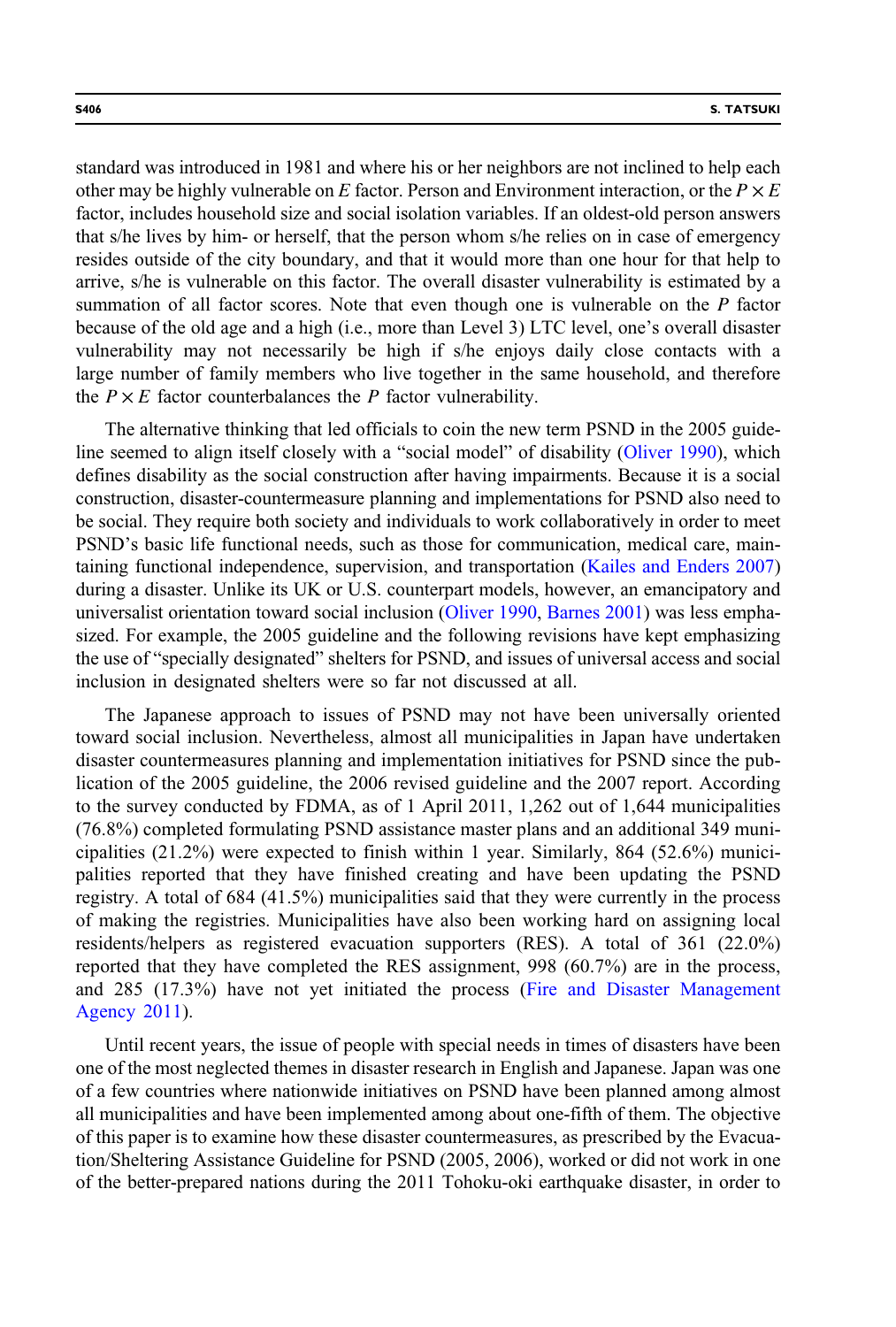standard was introduced in 1981 and where his or her neighbors are not inclined to help each other may be highly vulnerable on E factor. Person and Environment interaction, or the  $P \times E$ factor, includes household size and social isolation variables. If an oldest-old person answers that s/he lives by him- or herself, that the person whom s/he relies on in case of emergency resides outside of the city boundary, and that it would more than one hour for that help to arrive, s/he is vulnerable on this factor. The overall disaster vulnerability is estimated by a summation of all factor scores. Note that even though one is vulnerable on the  $P$  factor because of the old age and a high (i.e., more than Level 3) LTC level, one's overall disaster vulnerability may not necessarily be high if s/he enjoys daily close contacts with a large number of family members who live together in the same household, and therefore the  $P \times E$  factor counterbalances the P factor vulnerability.

The alternative thinking that led officials to coin the new term PSND in the 2005 guideline seemed to align itself closely with a "social model" of disability [\(Oliver 1990\)](#page-28-0), which defines disability as the social construction after having impairments. Because it is a social construction, disaster-countermeasure planning and implementations for PSND also need to be social. They require both society and individuals to work collaboratively in order to meet PSND's basic life functional needs, such as those for communication, medical care, maintaining functional independence, supervision, and transportation ([Kailes and Enders 2007](#page-28-0)) during a disaster. Unlike its UK or U.S. counterpart models, however, an emancipatory and universalist orientation toward social inclusion [\(Oliver 1990](#page-28-0), [Barnes 2001](#page-27-0)) was less emphasized. For example, the 2005 guideline and the following revisions have kept emphasizing the use of "specially designated" shelters for PSND, and issues of universal access and social inclusion in designated shelters were so far not discussed at all.

The Japanese approach to issues of PSND may not have been universally oriented toward social inclusion. Nevertheless, almost all municipalities in Japan have undertaken disaster countermeasures planning and implementation initiatives for PSND since the publication of the 2005 guideline, the 2006 revised guideline and the 2007 report. According to the survey conducted by FDMA, as of 1 April 2011, 1,262 out of 1,644 municipalities (76.8%) completed formulating PSND assistance master plans and an additional 349 municipalities (21.2%) were expected to finish within 1 year. Similarly, 864 (52.6%) municipalities reported that they have finished creating and have been updating the PSND registry. A total of 684 (41.5%) municipalities said that they were currently in the process of making the registries. Municipalities have also been working hard on assigning local residents/helpers as registered evacuation supporters (RES). A total of 361 (22.0%) reported that they have completed the RES assignment, 998 (60.7%) are in the process, and 285 (17.3%) have not yet initiated the process ([Fire and Disaster Management](#page-27-0) [Agency 2011\)](#page-27-0).

Until recent years, the issue of people with special needs in times of disasters have been one of the most neglected themes in disaster research in English and Japanese. Japan was one of a few countries where nationwide initiatives on PSND have been planned among almost all municipalities and have been implemented among about one-fifth of them. The objective of this paper is to examine how these disaster countermeasures, as prescribed by the Evacuation/Sheltering Assistance Guideline for PSND (2005, 2006), worked or did not work in one of the better-prepared nations during the 2011 Tohoku-oki earthquake disaster, in order to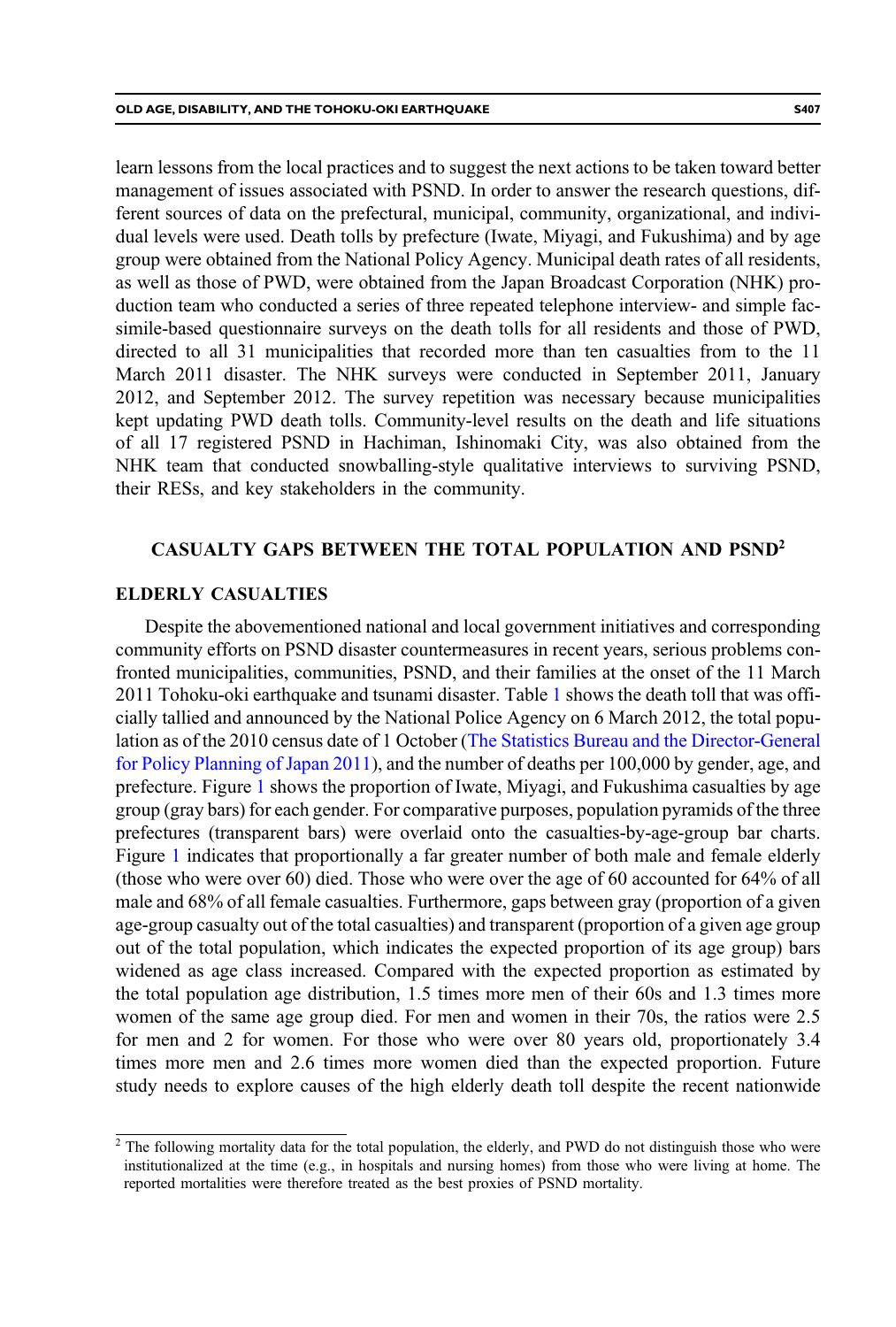learn lessons from the local practices and to suggest the next actions to be taken toward better management of issues associated with PSND. In order to answer the research questions, different sources of data on the prefectural, municipal, community, organizational, and individual levels were used. Death tolls by prefecture (Iwate, Miyagi, and Fukushima) and by age group were obtained from the National Policy Agency. Municipal death rates of all residents, as well as those of PWD, were obtained from the Japan Broadcast Corporation (NHK) production team who conducted a series of three repeated telephone interview- and simple facsimile-based questionnaire surveys on the death tolls for all residents and those of PWD, directed to all 31 municipalities that recorded more than ten casualties from to the 11 March 2011 disaster. The NHK surveys were conducted in September 2011, January 2012, and September 2012. The survey repetition was necessary because municipalities kept updating PWD death tolls. Community-level results on the death and life situations of all 17 registered PSND in Hachiman, Ishinomaki City, was also obtained from the NHK team that conducted snowballing-style qualitative interviews to surviving PSND, their RESs, and key stakeholders in the community.

## CASUALTY GAPS BETWEEN THE TOTAL POPULATION AND PSND2

### **ELDERLY CASUALTIES** ELDERLY CASUALTIES

Despite the abovementioned national and local government initiatives and corresponding community efforts on PSND disaster countermeasures in recent years, serious problems confronted municipalities, communities, PSND, and their families at the onset of the 11 March 2011 Tohoku-oki earthquake and tsunami disaster. Table [1](#page-5-0) shows the death toll that was officially tallied and announced by the National Police Agency on 6 March 2012, the total population as of the 2010 census date of 1 October ([The Statistics Bureau and the Director-General](#page-29-0) [for Policy Planning of Japan 2011\)](#page-29-0), and the number of deaths per 100,000 by gender, age, and prefecture. Figure [1](#page-6-0) shows the proportion of Iwate, Miyagi, and Fukushima casualties by age group (gray bars) for each gender. For comparative purposes, population pyramids of the three prefectures (transparent bars) were overlaid onto the casualties-by-age-group bar charts. Figure [1](#page-6-0) indicates that proportionally a far greater number of both male and female elderly (those who were over 60) died. Those who were over the age of 60 accounted for 64% of all male and 68% of all female casualties. Furthermore, gaps between gray (proportion of a given age-group casualty out of the total casualties) and transparent (proportion of a given age group out of the total population, which indicates the expected proportion of its age group) bars widened as age class increased. Compared with the expected proportion as estimated by the total population age distribution, 1.5 times more men of their 60s and 1.3 times more women of the same age group died. For men and women in their 70s, the ratios were 2.5 for men and 2 for women. For those who were over 80 years old, proportionately 3.4 times more men and 2.6 times more women died than the expected proportion. Future study needs to explore causes of the high elderly death toll despite the recent nationwide

 $2$  The following mortality data for the total population, the elderly, and PWD do not distinguish those who were institutionalized at the time (e.g., in hospitals and nursing homes) from those who were living at home. The reported mortalities were therefore treated as the best proxies of PSND mortality.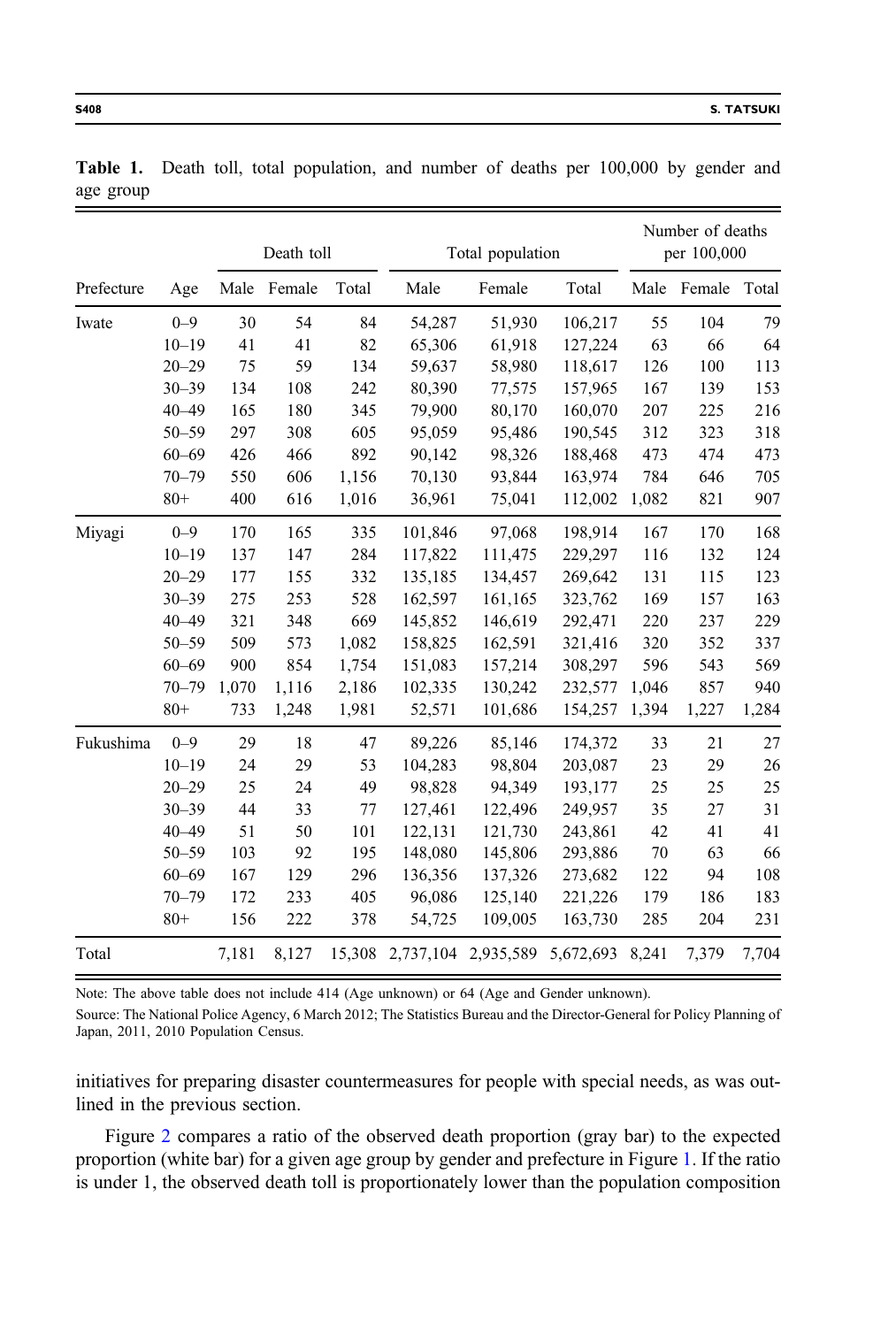|            |           |       | Death toll  |       |         | Total population           |           |       | Number of deaths<br>per 100,000 |       |
|------------|-----------|-------|-------------|-------|---------|----------------------------|-----------|-------|---------------------------------|-------|
| Prefecture | Age       |       | Male Female | Total | Male    | Female                     | Total     |       | Male Female                     | Total |
| Iwate      | $0 - 9$   | 30    | 54          | 84    | 54,287  | 51,930                     | 106,217   | 55    | 104                             | 79    |
|            | $10 - 19$ | 41    | 41          | 82    | 65,306  | 61,918                     | 127,224   | 63    | 66                              | 64    |
|            | $20 - 29$ | 75    | 59          | 134   | 59,637  | 58,980                     | 118,617   | 126   | 100                             | 113   |
|            | $30 - 39$ | 134   | $108\,$     | 242   | 80,390  | 77,575                     | 157,965   | 167   | 139                             | 153   |
|            | $40 - 49$ | 165   | 180         | 345   | 79,900  | 80,170                     | 160,070   | 207   | 225                             | 216   |
|            | $50 - 59$ | 297   | 308         | 605   | 95,059  | 95,486                     | 190,545   | 312   | 323                             | 318   |
|            | $60 - 69$ | 426   | 466         | 892   | 90,142  | 98,326                     | 188,468   | 473   | 474                             | 473   |
|            | $70 - 79$ | 550   | 606         | 1,156 | 70,130  | 93,844                     | 163,974   | 784   | 646                             | 705   |
|            | $80+$     | 400   | 616         | 1,016 | 36,961  | 75,041                     | 112,002   | 1,082 | 821                             | 907   |
| Miyagi     | $0 - 9$   | 170   | 165         | 335   | 101,846 | 97,068                     | 198,914   | 167   | 170                             | 168   |
|            | $10 - 19$ | 137   | 147         | 284   | 117,822 | 111,475                    | 229,297   | 116   | 132                             | 124   |
|            | $20 - 29$ | 177   | 155         | 332   | 135,185 | 134,457                    | 269,642   | 131   | 115                             | 123   |
|            | $30 - 39$ | 275   | 253         | 528   | 162,597 | 161,165                    | 323,762   | 169   | 157                             | 163   |
|            | $40 - 49$ | 321   | 348         | 669   | 145,852 | 146,619                    | 292,471   | 220   | 237                             | 229   |
|            | $50 - 59$ | 509   | 573         | 1,082 | 158,825 | 162,591                    | 321,416   | 320   | 352                             | 337   |
|            | $60 - 69$ | 900   | 854         | 1,754 | 151,083 | 157,214                    | 308,297   | 596   | 543                             | 569   |
|            | $70 - 79$ | 1,070 | 1,116       | 2,186 | 102,335 | 130,242                    | 232,577   | 1,046 | 857                             | 940   |
|            | $80+$     | 733   | 1,248       | 1,981 | 52,571  | 101,686                    | 154,257   | 1,394 | 1,227                           | 1,284 |
| Fukushima  | $0 - 9$   | 29    | 18          | 47    | 89,226  | 85,146                     | 174,372   | 33    | 21                              | 27    |
|            | $10 - 19$ | 24    | 29          | 53    | 104,283 | 98,804                     | 203,087   | 23    | 29                              | 26    |
|            | $20 - 29$ | 25    | 24          | 49    | 98,828  | 94,349                     | 193,177   | 25    | 25                              | 25    |
|            | $30 - 39$ | 44    | 33          | 77    | 127,461 | 122,496                    | 249,957   | 35    | 27                              | 31    |
|            | $40 - 49$ | 51    | 50          | 101   | 122,131 | 121,730                    | 243,861   | 42    | 41                              | 41    |
|            | $50 - 59$ | 103   | 92          | 195   | 148,080 | 145,806                    | 293,886   | 70    | 63                              | 66    |
|            | $60 - 69$ | 167   | 129         | 296   | 136,356 | 137,326                    | 273,682   | 122   | 94                              | 108   |
|            | $70 - 79$ | 172   | 233         | 405   | 96,086  | 125,140                    | 221,226   | 179   | 186                             | 183   |
|            | $80+$     | 156   | 222         | 378   | 54,725  | 109,005                    | 163,730   | 285   | 204                             | 231   |
| Total      |           | 7,181 | 8,127       |       |         | 15,308 2,737,104 2,935,589 | 5,672,693 | 8,241 | 7,379                           | 7,704 |

<span id="page-5-0"></span>Table 1. Death toll, total population, and number of deaths per 100,000 by gender and age group

Note: The above table does not include 414 (Age unknown) or 64 (Age and Gender unknown).

Source: The National Police Agency, 6 March 2012; The Statistics Bureau and the Director-General for Policy Planning of Japan, 2011, 2010 Population Census.

initiatives for preparing disaster countermeasures for people with special needs, as was outlined in the previous section.

Figure [2](#page-7-0) compares a ratio of the observed death proportion (gray bar) to the expected proportion (white bar) for a given age group by gender and prefecture in Figure [1.](#page-6-0) If the ratio is under 1, the observed death toll is proportionately lower than the population composition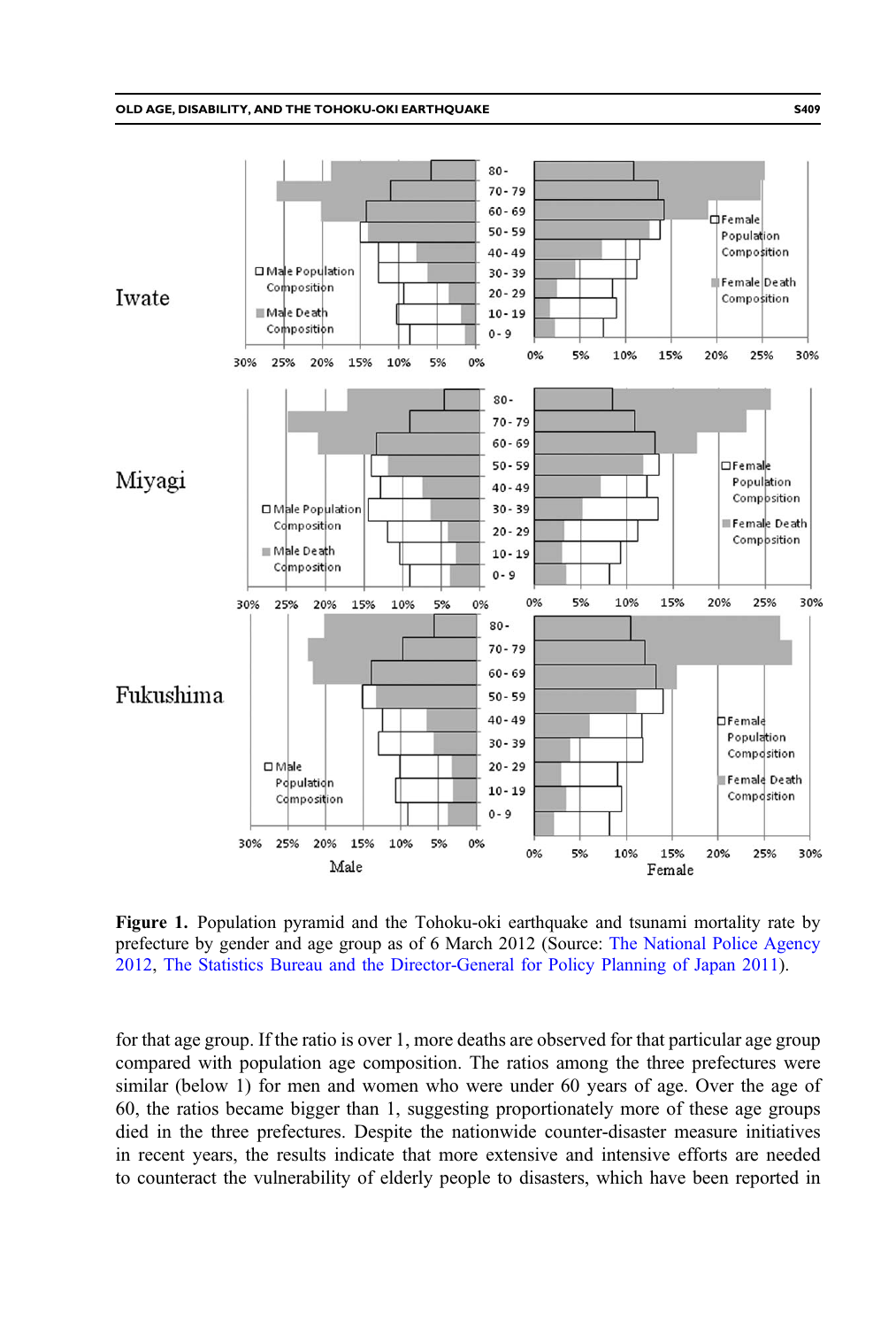<span id="page-6-0"></span>

Figure 1. Population pyramid and the Tohoku-oki earthquake and tsunami mortality rate by prefecture by gender and age group as of 6 March 2012 (Source: [The National Police Agency](#page-29-0) [2012,](#page-29-0) [The Statistics Bureau and the Director-General for Policy Planning of Japan 2011\)](#page-29-0).

for that age group. If the ratio is over 1, more deaths are observed for that particular age group compared with population age composition. The ratios among the three prefectures were similar (below 1) for men and women who were under 60 years of age. Over the age of 60, the ratios became bigger than 1, suggesting proportionately more of these age groups died in the three prefectures. Despite the nationwide counter-disaster measure initiatives in recent years, the results indicate that more extensive and intensive efforts are needed to counteract the vulnerability of elderly people to disasters, which have been reported in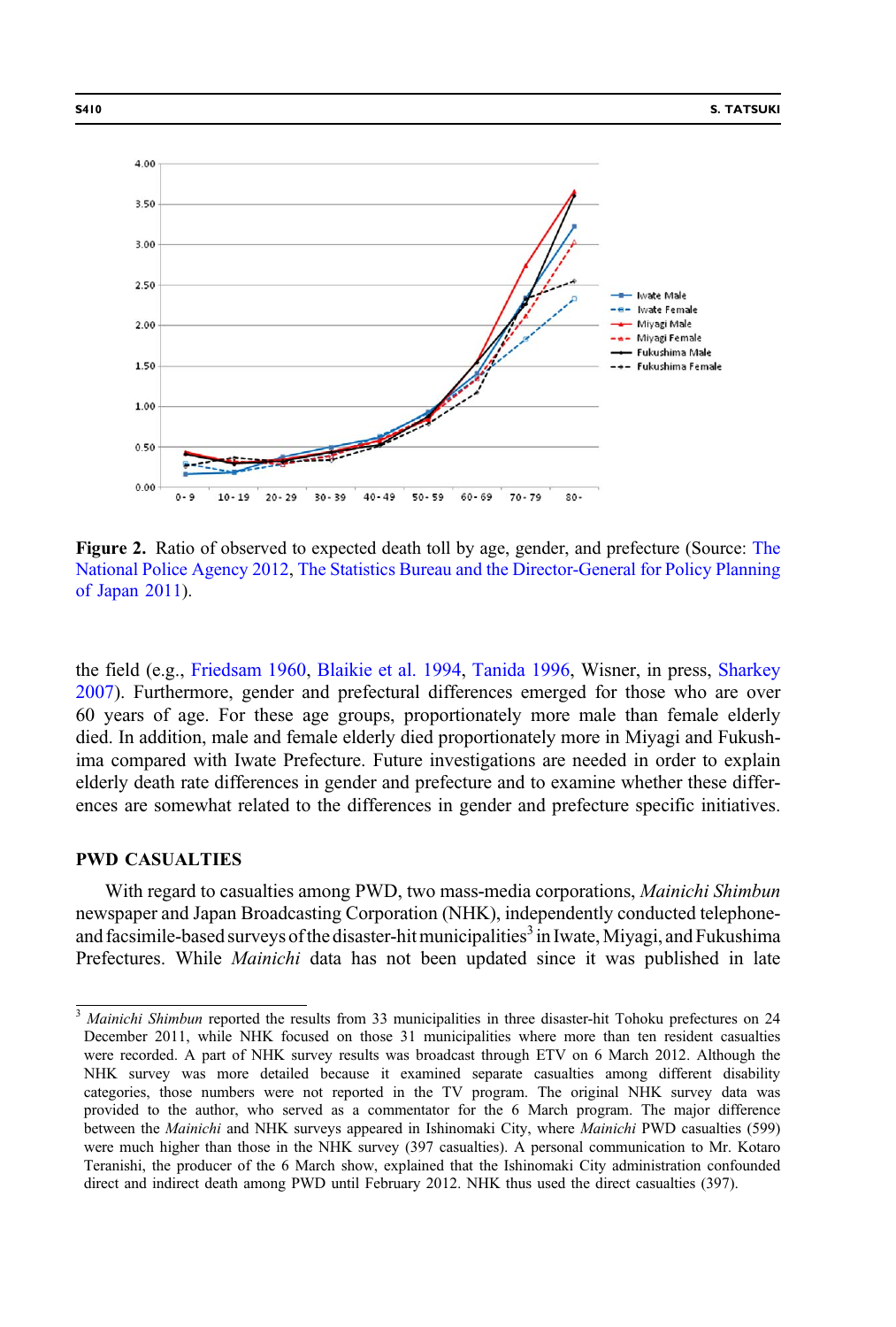<span id="page-7-0"></span>

Figure 2. Ratio of observed to expected death toll by age, gender, and prefecture (Source: [The](#page-29-0) [National Police Agency 2012,](#page-29-0) [The Statistics Bureau and the Director-General for Policy Planning](#page-29-0) [of Japan 2011\)](#page-29-0).

the field (e.g., [Friedsam 1960](#page-27-0), [Blaikie et al. 1994](#page-27-0), [Tanida 1996](#page-29-0), Wisner, in press, [Sharkey](#page-29-0) [2007\)](#page-29-0). Furthermore, gender and prefectural differences emerged for those who are over 60 years of age. For these age groups, proportionately more male than female elderly died. In addition, male and female elderly died proportionately more in Miyagi and Fukushima compared with Iwate Prefecture. Future investigations are needed in order to explain elderly death rate differences in gender and prefecture and to examine whether these differences are somewhat related to the differences in gender and prefecture specific initiatives.

### **PWD CASUALTIES** PWD CASUALTIES<br>PWD CASU

With regard to casualties among PWD, two mass-media corporations, Mainichi Shimbun newspaper and Japan Broadcasting Corporation (NHK), independently conducted telephoneand facsimile-based surveys of the disaster-hit municipalities<sup>3</sup> in Iwate, Miyagi, and Fukushima Prefectures. While *Mainichi* data has not been updated since it was published in late

<sup>3</sup> Mainichi Shimbun reported the results from 33 municipalities in three disaster-hit Tohoku prefectures on 24 December 2011, while NHK focused on those 31 municipalities where more than ten resident casualties were recorded. A part of NHK survey results was broadcast through ETV on 6 March 2012. Although the NHK survey was more detailed because it examined separate casualties among different disability categories, those numbers were not reported in the TV program. The original NHK survey data was provided to the author, who served as a commentator for the 6 March program. The major difference between the Mainichi and NHK surveys appeared in Ishinomaki City, where Mainichi PWD casualties (599) were much higher than those in the NHK survey (397 casualties). A personal communication to Mr. Kotaro Teranishi, the producer of the 6 March show, explained that the Ishinomaki City administration confounded direct and indirect death among PWD until February 2012. NHK thus used the direct casualties (397).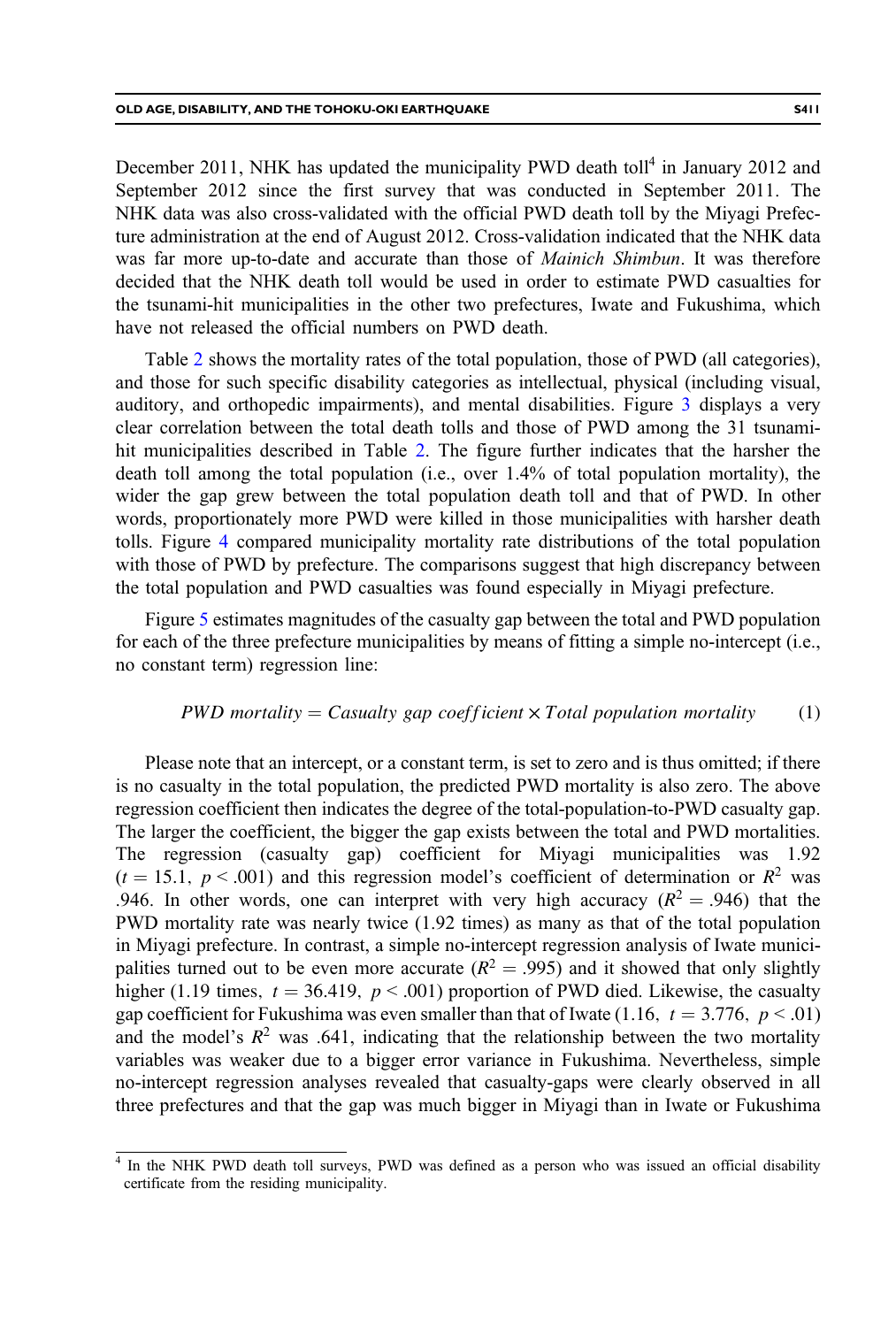December 2011, NHK has updated the municipality PWD death toll<sup>4</sup> in January 2012 and September 2012 since the first survey that was conducted in September 2011. The NHK data was also cross-validated with the official PWD death toll by the Miyagi Prefecture administration at the end of August 2012. Cross-validation indicated that the NHK data was far more up-to-date and accurate than those of *Mainich Shimbun*. It was therefore decided that the NHK death toll would be used in order to estimate PWD casualties for the tsunami-hit municipalities in the other two prefectures, Iwate and Fukushima, which have not released the official numbers on PWD death.

Table [2](#page-9-0) shows the mortality rates of the total population, those of PWD (all categories), and those for such specific disability categories as intellectual, physical (including visual, auditory, and orthopedic impairments), and mental disabilities. Figure [3](#page-11-0) displays a very clear correlation between the total death tolls and those of PWD among the 31 tsunamihit municipalities described in Table [2.](#page-9-0) The figure further indicates that the harsher the death toll among the total population (i.e., over 1.4% of total population mortality), the wider the gap grew between the total population death toll and that of PWD. In other words, proportionately more PWD were killed in those municipalities with harsher death tolls. Figure [4](#page-11-0) compared municipality mortality rate distributions of the total population with those of PWD by prefecture. The comparisons suggest that high discrepancy between the total population and PWD casualties was found especially in Miyagi prefecture.

Figure [5](#page-12-0) estimates magnitudes of the casualty gap between the total and PWD population for each of the three prefecture municipalities by means of fitting a simple no-intercept (i.e., no constant term) regression line:

$$
PWD\ mortality = Casuality\ gap\ coefficient \times Total\ population\ mortality\qquad(1)
$$

Please note that an intercept, or a constant term, is set to zero and is thus omitted; if there is no casualty in the total population, the predicted PWD mortality is also zero. The above regression coefficient then indicates the degree of the total-population-to-PWD casualty gap. The larger the coefficient, the bigger the gap exists between the total and PWD mortalities. The regression (casualty gap) coefficient for Miyagi municipalities was 1.92  $(t = 15.1, p < .001)$  and this regression model's coefficient of determination or  $R^2$  was .946. In other words, one can interpret with very high accuracy ( $R<sup>2</sup> = .946$ ) that the PWD mortality rate was nearly twice (1.92 times) as many as that of the total population in Miyagi prefecture. In contrast, a simple no-intercept regression analysis of Iwate municipalities turned out to be even more accurate ( $R^2 = .995$ ) and it showed that only slightly higher (1.19 times,  $t = 36.419$ ,  $p < .001$ ) proportion of PWD died. Likewise, the casualty gap coefficient for Fukushima was even smaller than that of Iwate (1.16,  $t = 3.776$ ,  $p < .01$ ) and the model's  $R^2$  was .641, indicating that the relationship between the two mortality variables was weaker due to a bigger error variance in Fukushima. Nevertheless, simple no-intercept regression analyses revealed that casualty-gaps were clearly observed in all three prefectures and that the gap was much bigger in Miyagi than in Iwate or Fukushima

In the NHK PWD death toll surveys, PWD was defined as a person who was issued an official disability certificate from the residing municipality.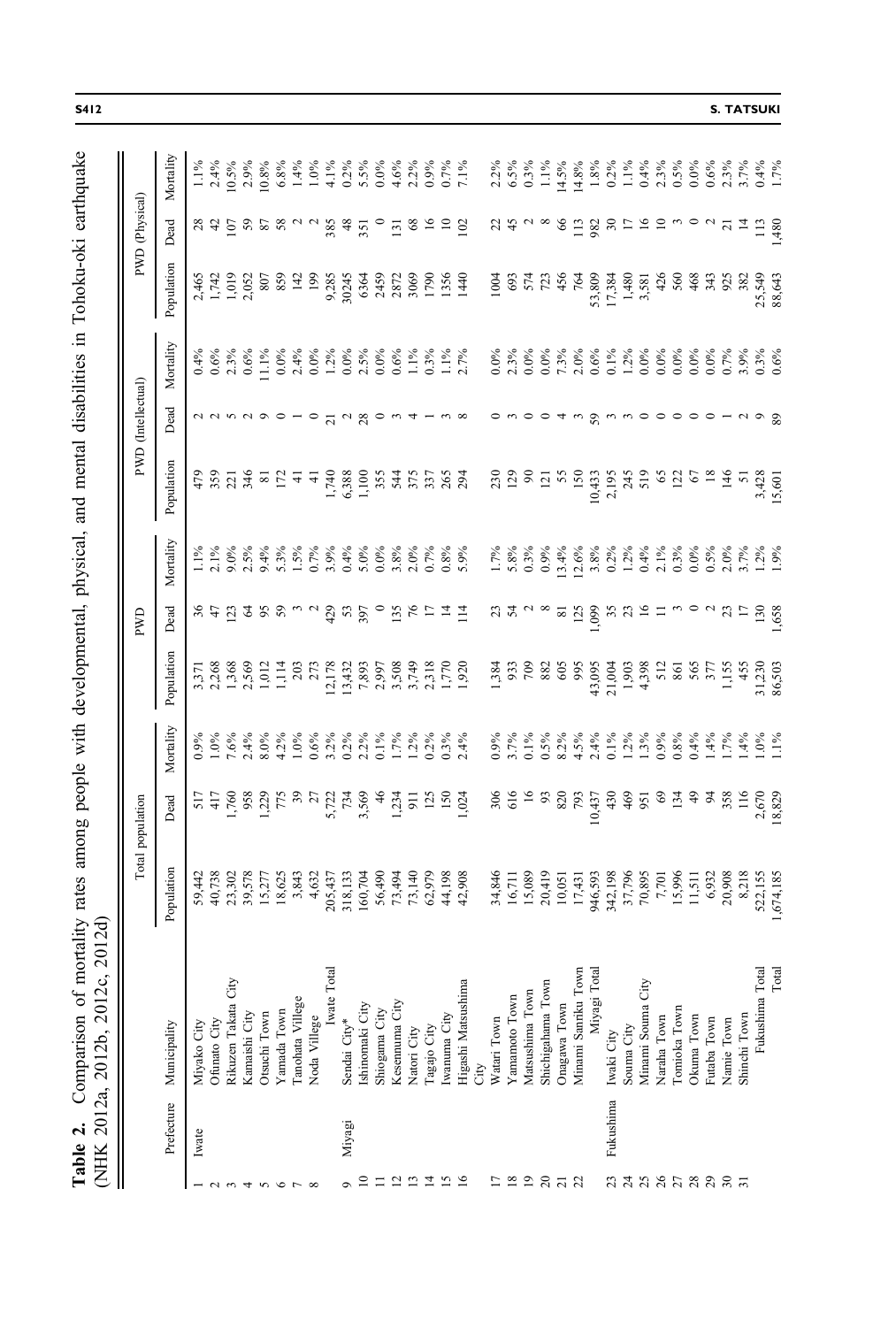<span id="page-9-0"></span>

| inco control and mantal discussion in inconduction and |                                         |
|--------------------------------------------------------|-----------------------------------------|
| l<br>.                                                 |                                         |
| i                                                      |                                         |
| ī                                                      |                                         |
|                                                        |                                         |
|                                                        |                                         |
| $\frac{1}{2}$                                          |                                         |
|                                                        |                                         |
|                                                        | ļ<br>ı                                  |
| ammarison of m                                         | cred intrice credit credit contribution |
| awac 4:                                                |                                         |

|                          |            |                     |                                                                                                                                                                                                                                                        | Total population      |           |                                                  | EWD                                                 |                                                                                                                       |                                                                 | PWD (Intellectual)  |                                                                                                                                                                                                                                                                                                                                                                                                       |                                    | PWD (Physical)                                                     |           |
|--------------------------|------------|---------------------|--------------------------------------------------------------------------------------------------------------------------------------------------------------------------------------------------------------------------------------------------------|-----------------------|-----------|--------------------------------------------------|-----------------------------------------------------|-----------------------------------------------------------------------------------------------------------------------|-----------------------------------------------------------------|---------------------|-------------------------------------------------------------------------------------------------------------------------------------------------------------------------------------------------------------------------------------------------------------------------------------------------------------------------------------------------------------------------------------------------------|------------------------------------|--------------------------------------------------------------------|-----------|
|                          | Prefecture | Municipality        | Population                                                                                                                                                                                                                                             | Dead                  | Mortality | Population                                       | Dead                                                | Mortality                                                                                                             | Population                                                      | Dead                | Mortality                                                                                                                                                                                                                                                                                                                                                                                             | Population                         | Dead                                                               | Mortality |
|                          | Iwate      | Miyako City         | 59,442                                                                                                                                                                                                                                                 | 517                   | 0.9%      |                                                  |                                                     | $1.1\%$                                                                                                               |                                                                 |                     |                                                                                                                                                                                                                                                                                                                                                                                                       |                                    |                                                                    |           |
| $\sim$                   |            | Ofunato City        |                                                                                                                                                                                                                                                        | $\frac{1}{4}$         |           |                                                  |                                                     |                                                                                                                       |                                                                 |                     |                                                                                                                                                                                                                                                                                                                                                                                                       |                                    | $28$ 42                                                            |           |
| $\epsilon$               |            | Rikuzen Takata City |                                                                                                                                                                                                                                                        |                       |           |                                                  | 85038                                               |                                                                                                                       | <del>ប</del> ិន្តី ដូង ¤ ដ                                      |                     |                                                                                                                                                                                                                                                                                                                                                                                                       |                                    |                                                                    |           |
|                          |            | Kamaishi City       |                                                                                                                                                                                                                                                        |                       |           |                                                  |                                                     |                                                                                                                       |                                                                 |                     |                                                                                                                                                                                                                                                                                                                                                                                                       |                                    |                                                                    |           |
|                          |            | Otsuchi Town        |                                                                                                                                                                                                                                                        |                       |           |                                                  |                                                     |                                                                                                                       |                                                                 |                     |                                                                                                                                                                                                                                                                                                                                                                                                       |                                    |                                                                    |           |
| 400008                   |            | Yamada Town         | 40,738<br>23,302<br>39,578<br>18,625<br>18,632<br>4,632                                                                                                                                                                                                | 1,760<br>888<br>2775  |           | 3,371<br>2,368<br>3,569<br>1,114<br>203<br>273   |                                                     |                                                                                                                       |                                                                 |                     |                                                                                                                                                                                                                                                                                                                                                                                                       |                                    | 588899887                                                          |           |
|                          |            | Tanohata Villege    |                                                                                                                                                                                                                                                        |                       |           |                                                  |                                                     |                                                                                                                       |                                                                 |                     |                                                                                                                                                                                                                                                                                                                                                                                                       |                                    |                                                                    |           |
|                          |            | Noda Villege        |                                                                                                                                                                                                                                                        | 39                    |           |                                                  |                                                     |                                                                                                                       | क क                                                             |                     |                                                                                                                                                                                                                                                                                                                                                                                                       |                                    |                                                                    |           |
|                          |            | Iwate Total         | 205,437<br>318,133                                                                                                                                                                                                                                     | 5,722<br>734<br>3,569 |           |                                                  |                                                     |                                                                                                                       |                                                                 |                     |                                                                                                                                                                                                                                                                                                                                                                                                       |                                    |                                                                    |           |
| $\bullet$                | Miyagi     | Sendai City*        |                                                                                                                                                                                                                                                        |                       |           | 12,178<br>13,432                                 | ដូ ន ន្ល                                            |                                                                                                                       | $1,740$<br>$6,388$<br>$1,100$                                   | $\frac{28}{28}$     |                                                                                                                                                                                                                                                                                                                                                                                                       |                                    |                                                                    |           |
| $\approx$                |            | Ishinomaki City     | 160,704                                                                                                                                                                                                                                                |                       |           | 7,893                                            |                                                     |                                                                                                                       |                                                                 |                     |                                                                                                                                                                                                                                                                                                                                                                                                       |                                    |                                                                    |           |
| $\equiv$                 |            | Shiogama City       | 56,490                                                                                                                                                                                                                                                 | $\frac{4}{3}$         |           |                                                  | $\circ$                                             |                                                                                                                       | 355                                                             |                     |                                                                                                                                                                                                                                                                                                                                                                                                       |                                    |                                                                    |           |
|                          |            | Kesemuma City       | 73,494                                                                                                                                                                                                                                                 | 1,234                 |           |                                                  | 135                                                 |                                                                                                                       | 544                                                             |                     |                                                                                                                                                                                                                                                                                                                                                                                                       |                                    | $\overline{131}$                                                   |           |
| $27722$                  |            | Natori City         |                                                                                                                                                                                                                                                        | $\overline{5}$        |           |                                                  |                                                     |                                                                                                                       |                                                                 |                     |                                                                                                                                                                                                                                                                                                                                                                                                       |                                    | $\infty$                                                           |           |
|                          |            | Tagajo City         |                                                                                                                                                                                                                                                        | 125                   |           |                                                  |                                                     |                                                                                                                       |                                                                 |                     |                                                                                                                                                                                                                                                                                                                                                                                                       |                                    |                                                                    |           |
|                          |            | wanuma City         |                                                                                                                                                                                                                                                        | 150                   |           | 2,997<br>3,508<br>3,749<br>1,770<br>1,920        | 6.777                                               | ९, १९९९ १९९९ थे १९९९ थे १९९९ थे १९९९<br>१९९१ में १९९१ थे १९९९ थे १९९९ थे १९९९<br>१९९१ थे १९९९ थे १९९९ थे १९९९ थे १९९७ | 355<br>285<br>295                                               |                     |                                                                                                                                                                                                                                                                                                                                                                                                       |                                    | 199                                                                |           |
|                          |            | Higashi Matsushima  | 73,140<br>62,979<br>44,198<br>42,908                                                                                                                                                                                                                   | 1,024                 |           |                                                  |                                                     |                                                                                                                       |                                                                 |                     | $\begin{array}{l} \text{S.} & \text{S.} & \text{S.} & \text{S.} & \text{S.} & \text{S.} \\ \text{S.} & \text{S.} & \text{S.} & \text{S.} & \text{S.} & \text{S.} & \text{S.} & \text{S.} \\ \text{S.} & \text{S.} & \text{S.} & \text{S.} & \text{S.} & \text{S.} & \text{S.} & \text{S.} \\ \text{S.} & \text{S.} & \text{S.} & \text{S.} & \text{S.} & \text{S.} & \text{S.} & \text{S.} \\ \text{$ |                                    |                                                                    |           |
|                          |            | Ğ                   |                                                                                                                                                                                                                                                        |                       |           |                                                  |                                                     |                                                                                                                       |                                                                 |                     |                                                                                                                                                                                                                                                                                                                                                                                                       |                                    |                                                                    |           |
|                          |            | Watari Town         |                                                                                                                                                                                                                                                        | 306                   |           |                                                  |                                                     |                                                                                                                       |                                                                 |                     |                                                                                                                                                                                                                                                                                                                                                                                                       | 1004                               |                                                                    |           |
|                          |            | Yamamoto Town       |                                                                                                                                                                                                                                                        | 616                   |           |                                                  |                                                     |                                                                                                                       | $\frac{8}{2}$ $\frac{8}{2}$                                     |                     |                                                                                                                                                                                                                                                                                                                                                                                                       |                                    |                                                                    |           |
| <b>h 2 2 2 3 4 3</b>     |            | Matsushima Town     | 34,846<br>16,711<br>16,700<br>16,700<br>16,700<br>16,700<br>16,700<br>16,700<br>16,713<br>20,000<br>20,000<br>20,000<br>20,000<br>20,000<br>20,000<br>20,000<br>20,000<br>20,000<br>20,000<br>20,000<br>20,000<br>20,000<br>20,000<br>20,000<br>20,000 |                       |           | $1,384$<br>$533$<br>$709$                        |                                                     |                                                                                                                       |                                                                 |                     |                                                                                                                                                                                                                                                                                                                                                                                                       | <b>3753</b>                        |                                                                    |           |
|                          |            | Shichigahama Town   |                                                                                                                                                                                                                                                        | 9                     |           | 882                                              |                                                     |                                                                                                                       | $\overline{121}$                                                |                     |                                                                                                                                                                                                                                                                                                                                                                                                       |                                    |                                                                    |           |
|                          |            | Onagawa Town        |                                                                                                                                                                                                                                                        |                       |           | 605<br>809                                       | $\infty$                                            |                                                                                                                       |                                                                 |                     |                                                                                                                                                                                                                                                                                                                                                                                                       | 456                                | 8                                                                  |           |
|                          |            | Minami Sanriku Town |                                                                                                                                                                                                                                                        | 82<br>793             |           |                                                  | 125                                                 |                                                                                                                       | <b>150</b>                                                      |                     |                                                                                                                                                                                                                                                                                                                                                                                                       | 54                                 |                                                                    |           |
|                          |            | Miyagi Tota         |                                                                                                                                                                                                                                                        | 10,437                |           |                                                  | 1,099                                               |                                                                                                                       |                                                                 |                     |                                                                                                                                                                                                                                                                                                                                                                                                       |                                    |                                                                    |           |
|                          | Fukushima  | Iwaki City          |                                                                                                                                                                                                                                                        | 430                   |           | 43,095<br>21,004<br>1,903<br>4,398<br>512<br>512 |                                                     |                                                                                                                       | $10,433$<br>$2,195$<br>$5,195$<br>$5,195$<br>$5,195$<br>$5,121$ |                     |                                                                                                                                                                                                                                                                                                                                                                                                       | 53,809<br>17,384<br>1,480<br>3,581 | $\begin{array}{c}\n\Box\otimes\otimes\Box\subseteq\Box\end{array}$ |           |
|                          |            | Souma City          |                                                                                                                                                                                                                                                        | 469                   |           |                                                  |                                                     |                                                                                                                       |                                                                 |                     |                                                                                                                                                                                                                                                                                                                                                                                                       |                                    |                                                                    |           |
|                          |            | Minami Souma City   |                                                                                                                                                                                                                                                        | 951                   |           |                                                  | $\begin{array}{c}\n 37 \\  27 \\  38\n \end{array}$ |                                                                                                                       |                                                                 |                     |                                                                                                                                                                                                                                                                                                                                                                                                       |                                    |                                                                    |           |
|                          |            | Naraha Town         |                                                                                                                                                                                                                                                        |                       |           |                                                  |                                                     |                                                                                                                       |                                                                 | $\circ \circ \circ$ |                                                                                                                                                                                                                                                                                                                                                                                                       | 426                                |                                                                    |           |
|                          |            | Tomioka Town        |                                                                                                                                                                                                                                                        | $rac{6}{2}$           |           |                                                  |                                                     |                                                                                                                       |                                                                 |                     |                                                                                                                                                                                                                                                                                                                                                                                                       | 560                                |                                                                    |           |
|                          |            | Okuma Town          |                                                                                                                                                                                                                                                        |                       |           |                                                  |                                                     |                                                                                                                       |                                                                 |                     |                                                                                                                                                                                                                                                                                                                                                                                                       | 468                                |                                                                    |           |
| <b>ភ្នាង</b> ក្នុង ក្នុង |            | Futaba Town         |                                                                                                                                                                                                                                                        | $\frac{358}{3}$       |           |                                                  |                                                     |                                                                                                                       |                                                                 |                     |                                                                                                                                                                                                                                                                                                                                                                                                       | 343                                |                                                                    |           |
|                          |            | Namie Town          |                                                                                                                                                                                                                                                        |                       |           | 565<br>371 155<br>455                            |                                                     |                                                                                                                       | $146$<br>$146$<br>$5,428$<br>$15,601$                           |                     |                                                                                                                                                                                                                                                                                                                                                                                                       | 925                                | $\frac{21}{4}$                                                     |           |
|                          |            | Shinchi Town        |                                                                                                                                                                                                                                                        | $\frac{1}{6}$         |           |                                                  |                                                     |                                                                                                                       |                                                                 |                     |                                                                                                                                                                                                                                                                                                                                                                                                       | 382                                |                                                                    |           |
|                          |            | Fukushima Total     |                                                                                                                                                                                                                                                        | 2,670<br>18,829       |           | 31,230<br>86,503                                 | $\begin{array}{c} 130 \\ 658 \end{array}$           |                                                                                                                       |                                                                 |                     |                                                                                                                                                                                                                                                                                                                                                                                                       | 25,549<br>88,643                   | $\Xi$                                                              |           |
|                          |            | Total               |                                                                                                                                                                                                                                                        |                       |           |                                                  |                                                     |                                                                                                                       |                                                                 |                     |                                                                                                                                                                                                                                                                                                                                                                                                       |                                    | 1,480                                                              |           |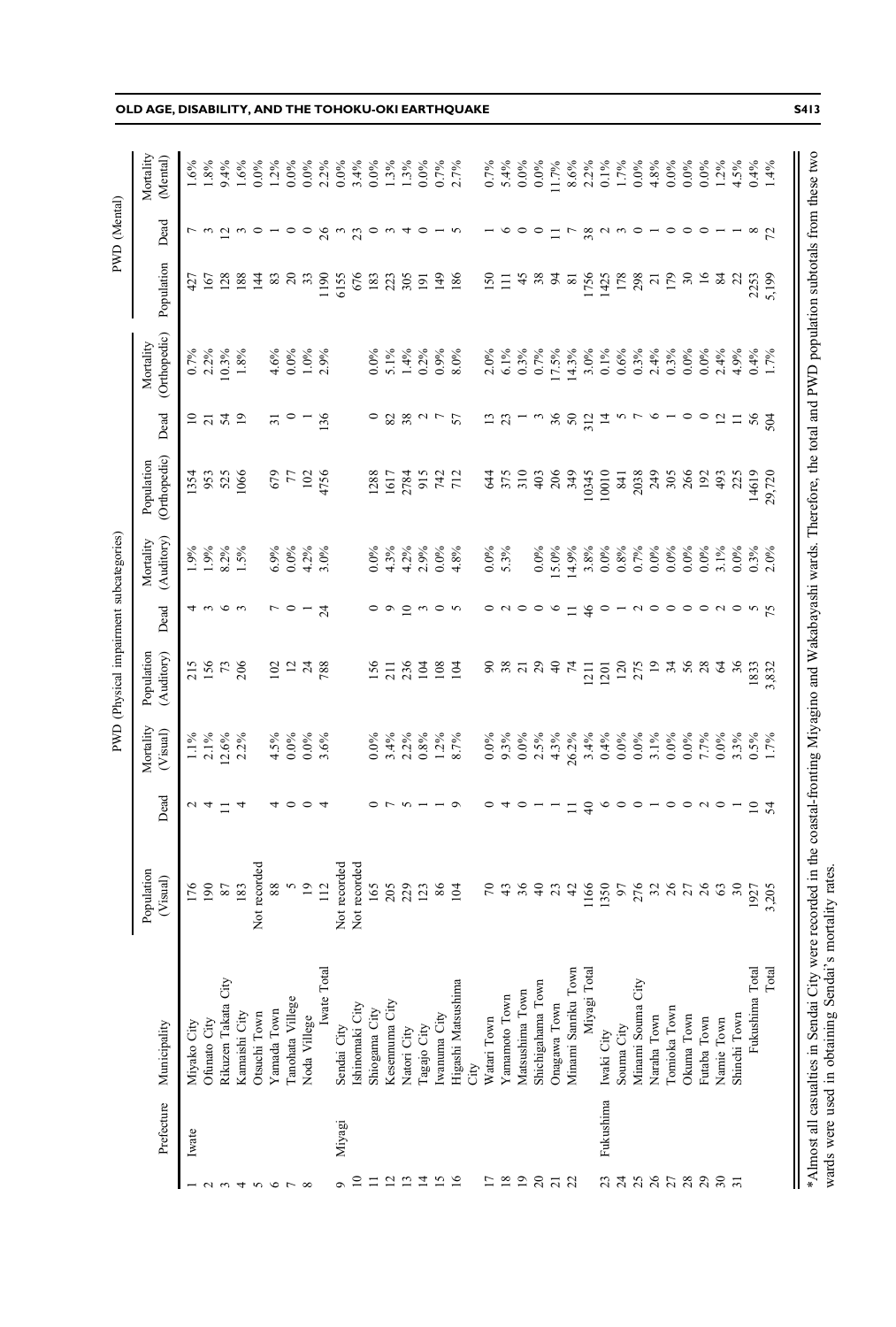|                          | Prefecture | Municipality        | Population<br>(Visual) | Dead    | Mortality<br>(Visual) | (Auditory)<br>Population | Dead         | (Auditory)<br>Mortality | (Orthopedic)<br>Population | Dead                     | (Orthopedic)<br>Mortality | Population          | Dead           | Mortality<br>(Mental)                                                                                              |
|--------------------------|------------|---------------------|------------------------|---------|-----------------------|--------------------------|--------------|-------------------------|----------------------------|--------------------------|---------------------------|---------------------|----------------|--------------------------------------------------------------------------------------------------------------------|
| $\overline{\phantom{0}}$ | Iwate      | Miyako City         |                        | N       | $1.1\%$               |                          |              | 1.9%                    | 1354                       | $\overline{\phantom{0}}$ | 0.7%                      | 427                 |                | $1.6\%$                                                                                                            |
| $\sim$                   |            | Ofunato City        | 176<br>190             | 4       | $2.1\%$               | 215<br>156               | 4 w          | 1.9%                    | 953                        |                          | 2.2%                      | 167                 |                | $1.8\%$                                                                                                            |
| $\tilde{5}$              |            | Rikuzen Takata City | $\sqrt{8}$             |         |                       | $73\,$                   | م ص          | 8.2%                    | 525                        | 7340                     | $10.3\%$                  | 128                 | ല് പ്ര         | 9.4%                                                                                                               |
| 4                        |            | Kamaishi City       | 183                    |         | $12.6\%$<br>2.2%      | 206                      |              | $1.5\%$                 | 1066                       |                          | 1.8%                      | 188                 |                | 1.6%                                                                                                               |
|                          |            | Otsuchi Town        | Not recorded           |         |                       |                          |              |                         |                            |                          |                           | $\overline{4}$      | $\circ$        | $0.0\%$                                                                                                            |
|                          |            | Yamada Town         | 88                     |         |                       | 102                      |              | 6.9%                    | 679                        | ಸ                        | 4.6%                      | 83                  |                | 1.2%                                                                                                               |
| 50000                    |            | Tanohata Villege    |                        |         | 4.5%<br>0.0%          | $\overline{5}$           | ∘            | $0.0\%$                 | 77                         | $\circ$                  | $0.0\%$                   | $\approx$           | ∘              |                                                                                                                    |
|                          |            | <b>Noda Villege</b> | $\overline{19}$        |         | $0.0\%$               | $\frac{24}{88}$          |              | 4.2%                    | 102                        |                          | 1.0%                      | 33                  | $\circ$        |                                                                                                                    |
|                          |            | wate Total          | 112                    |         | 3.6%                  |                          | $\mathbb{Z}$ | 3.0%                    | 4756                       | 136                      | 2.9%                      | 1190                | $\%$           | $\begin{array}{l} 0.0\% \\ 0.0\% \\ 2.2\% \\ 0.0\% \\ 0.0\% \end{array}$                                           |
| $\sigma$                 | Miyagi     | Sendai City         | Not recorded           |         |                       |                          |              |                         |                            |                          |                           | 6155                | $\sim$         |                                                                                                                    |
| $\approx$                |            | shinomaki City      | Not recorded           |         |                       |                          |              |                         |                            |                          |                           | 676                 | $\mathfrak{L}$ |                                                                                                                    |
| $\equiv$                 |            | Shiogama City       | 165                    |         | $0.0\%$               | 156                      |              | $0.0\%$                 | 1288                       | $\circ$                  | $0.0\%$                   | 183                 | $\circ$        |                                                                                                                    |
|                          |            | Kesemuma City       | 205                    |         | 3.4%                  |                          | ◦            | 4.3%                    | 1617                       |                          | 5.1%                      | 223                 | $\epsilon$     |                                                                                                                    |
|                          |            | Natori City         | 229                    |         | $2.2\%$               | $\frac{211}{236}$        | $\Xi$        | 4.2%                    | 2784                       | $\frac{2}{3}$            | 1.4%                      | 305                 | 4              | $\frac{3\%}{1.3\%}$                                                                                                |
|                          |            | Tagajo City         | 123                    |         | 0.8%                  | 104                      |              | 2.9%                    | 915                        | $\sim$ $\sim$            | $0.2\%$                   | 191                 | $\subset$      |                                                                                                                    |
| $22422$                  |            | wanuma City         | $86\,$                 |         | $1.2\%$               | 108                      | $\circ$      | $0.0\%$                 | 742                        |                          | 0.9%                      | 149                 |                | $0.7\%$                                                                                                            |
|                          |            | Higashi Matsushima  | 104                    |         | 8.7%                  | $\overline{a}$           |              | 4.8%                    |                            | 57                       | 8.0%                      | 186                 |                | 2.7%                                                                                                               |
|                          |            | City                |                        |         |                       |                          |              |                         |                            |                          |                           |                     |                |                                                                                                                    |
|                          |            | Watari Town         | $\sqrt{2}$             |         | $0.0\%$               | 8                        |              | $0.0\%$                 | <u>क्ष</u>                 | ≘                        | $2.0\%$                   | <b>50</b>           |                | $0.7\%$                                                                                                            |
| $\frac{5}{2}$            |            | Yamamoto Town       | $\frac{4}{3}$          |         | 9.3%                  |                          |              | $5.3\%$                 | 375                        | $\mathfrak{z}$           | $6.1\%$                   | $\Xi$               |                | 5.4%                                                                                                               |
| $\overline{19}$          |            | Matsushima Town     | 36                     |         | $0.0\%$               | 38                       |              |                         | 310                        |                          | $0.3\%$                   | $\frac{45}{5}$      |                | $0.0\%$                                                                                                            |
| $20\,$                   |            | Shichigahama Town   | $\overline{4}$         |         | 2.5%                  | 29                       |              | $0.0\%$                 | 403                        |                          | 0.7%                      | 38                  |                | $0.0\%$                                                                                                            |
| $\frac{21}{2}$           |            | Onagawa Town        | 23                     |         | 4.3%                  | $\triangleleft$          | ∽            | 15.0%                   | 206                        | $rac{36}{50}$            | 17.5%                     | द्र                 |                |                                                                                                                    |
|                          |            | Minami Sanriku Town | 42                     |         | 26.2%                 | $\mathcal{L}$            |              | 14.9%                   | 349                        |                          | 14.3%                     | $\overline{\infty}$ |                |                                                                                                                    |
|                          |            | Miyagi Total        | 1166                   |         | 3.4%                  | 1211                     | 46           | 3.8%                    | 10345                      | 312                      | 3.0%                      | 1756                | 38             | $\begin{array}{l} 1.7\% \\ 1.7\% \\ 8.6\% \\ 2.2\% \\ 0.1\% \\ 0.0\% \\ 0.00\% \\ 0.00\% \\ 0.00\% \\ \end{array}$ |
|                          | Fukushima  | Iwaki City          | 1350                   |         | 0.4%                  | 1201                     |              | $0.0\%$                 | 10010                      | $\vec{a}$                | $0.1\%$                   | 1425                | $\sim$         |                                                                                                                    |
| 3333533                  |            | Souma City          | $97$<br>$276$          |         | $0.0\%$               | 120                      |              | 0.8%                    | 841                        |                          | 0.6%                      | 178                 | $\epsilon$     |                                                                                                                    |
|                          |            | Minami Souma City   |                        |         | $0.0\%$               | 275                      | $\mathbf{c}$ | 0.7%                    | 2038                       |                          | $0.3\%$                   | 298                 | $\circ$        |                                                                                                                    |
|                          |            | Naraha Town         |                        |         | $3.1\%$               | $\overline{1}$           | $\circ$      | $0.0\%$                 | 249                        |                          | 2.4%                      | $\overline{c}$      |                |                                                                                                                    |
|                          |            | Tomioka Town        |                        |         | $0.0\%$               | $\mathfrak{L}$           | $\circ$      | $0.0\%$                 | 305                        |                          | $0.3\%$                   | 179                 | $\circ$        |                                                                                                                    |
|                          |            | Okuma Town          |                        |         | $0.0\%$               | 56                       | $\circ$      | $0.0\%$                 | 266                        | $\circ$                  | $0.0\%$                   | $\approx$           | $\circ$        |                                                                                                                    |
|                          |            | Futaba Town         |                        |         | 7.7%                  | 28                       | $\circ$      | $0.0\%$                 | 192                        | $\circ$                  | $0.0\%$                   | $\overline{16}$     | $\circ$        | $0.0\%$                                                                                                            |
| 30                       |            | Namie Town          | 63                     | $\circ$ | $0.0\%$               | 2                        | $\mathbf{c}$ | $3.1\%$                 | 493                        | $\overline{12}$          | 2.4%                      | $\frac{84}{3}$      |                | $1.2\%$<br>4.5%                                                                                                    |
|                          |            | Shinchi Town        | 30                     |         | 3.3%                  |                          | $\circ$      | 0.0%                    | 225                        | $\equiv$                 | 4.9%                      | $\overline{c}$      |                |                                                                                                                    |
|                          |            | Fukushima Total     | 1927                   | $\Xi$   | 0.5%                  | 1833                     | $\sim$       | $0.3\%$                 | 14619                      | 56                       | 0.4%                      | 2253                | $\infty$       | 0.4%                                                                                                               |
|                          |            | Total               | 3,205                  | 24      | $1.7\%$               | 3,832                    | Σŕ           | $2.0\%$                 | 29,720                     | 504                      | $1.7\%$                   | 5,199               | 52             | $1.4\%$                                                                                                            |

OLD AGE, DISABILITY, AND THE TOHOKU-OKI EARTHQUAKE S413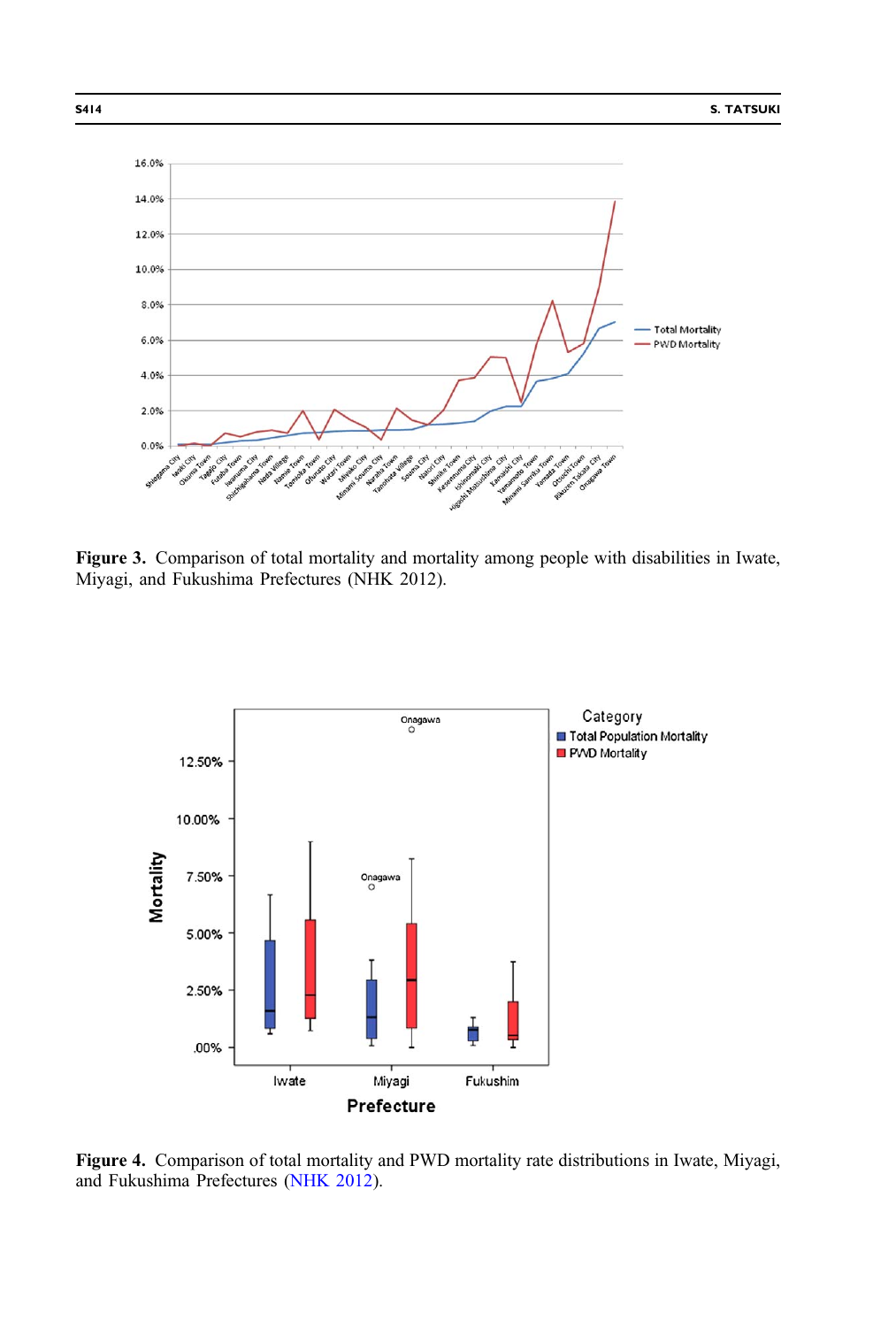<span id="page-11-0"></span>

Figure 3. Comparison of total mortality and mortality among people with disabilities in Iwate, Miyagi, and Fukushima Prefectures (NHK 2012).



Figure 4. Comparison of total mortality and PWD mortality rate distributions in Iwate, Miyagi, and Fukushima Prefectures [\(NHK 2012](#page-28-0)).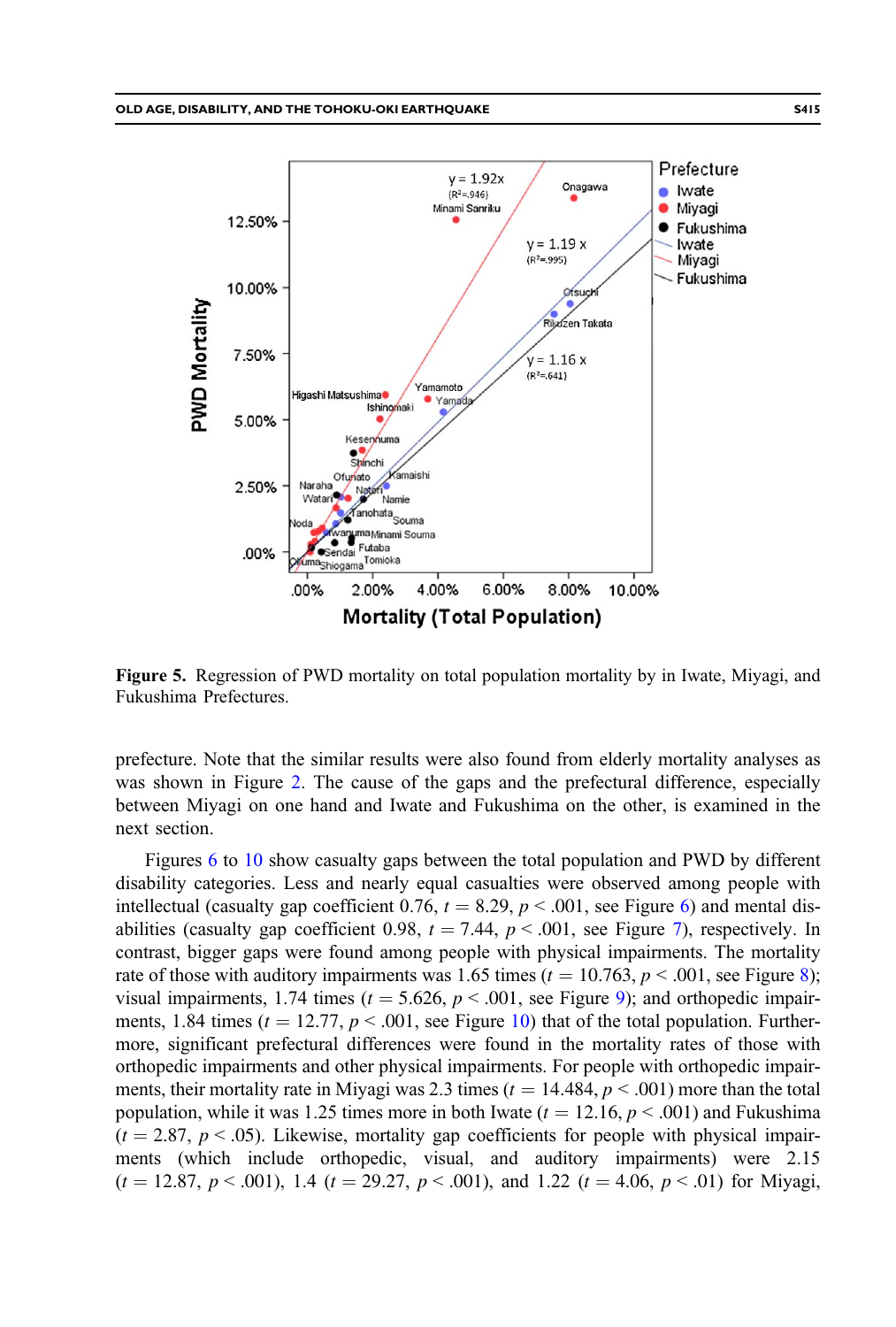<span id="page-12-0"></span>

Figure 5. Regression of PWD mortality on total population mortality by in Iwate, Miyagi, and Fukushima Prefectures.

prefecture. Note that the similar results were also found from elderly mortality analyses as was shown in Figure [2](#page-7-0). The cause of the gaps and the prefectural difference, especially between Miyagi on one hand and Iwate and Fukushima on the other, is examined in the next section.

Figures [6](#page-13-0) to [10](#page-17-0) show casualty gaps between the total population and PWD by different disability categories. Less and nearly equal casualties were observed among people with intellectual (casualty gap coefficient 0.7[6](#page-13-0),  $t = 8.29$ ,  $p < .001$ , see Figure 6) and mental disabilities (casualty gap coefficient 0.98,  $t = 7.44$  $t = 7.44$  $t = 7.44$ ,  $p < .001$ , see Figure 7), respectively. In contrast, bigger gaps were found among people with physical impairments. The mortality rate of those with auditory impairments was 1.65 times ( $t = 10.763$ ,  $p < .001$ , see Figure [8](#page-15-0)); visual impairments, 1.74 times ( $t = 5.626$ ,  $p < .001$ , see Figure [9](#page-16-0)); and orthopedic impairments, 1.84 times ( $t = 12.77$ ,  $p < .001$ , see Figure [10](#page-17-0)) that of the total population. Furthermore, significant prefectural differences were found in the mortality rates of those with orthopedic impairments and other physical impairments. For people with orthopedic impairments, their mortality rate in Miyagi was 2.3 times ( $t = 14.484$ ,  $p < .001$ ) more than the total population, while it was 1.25 times more in both Iwate ( $t = 12.16$ ,  $p < .001$ ) and Fukushima  $(t = 2.87, p < .05)$ . Likewise, mortality gap coefficients for people with physical impairments (which include orthopedic, visual, and auditory impairments) were 2.15  $(t = 12.87, p < .001)$ , 1.4  $(t = 29.27, p < .001)$ , and 1.22  $(t = 4.06, p < .01)$  for Miyagi,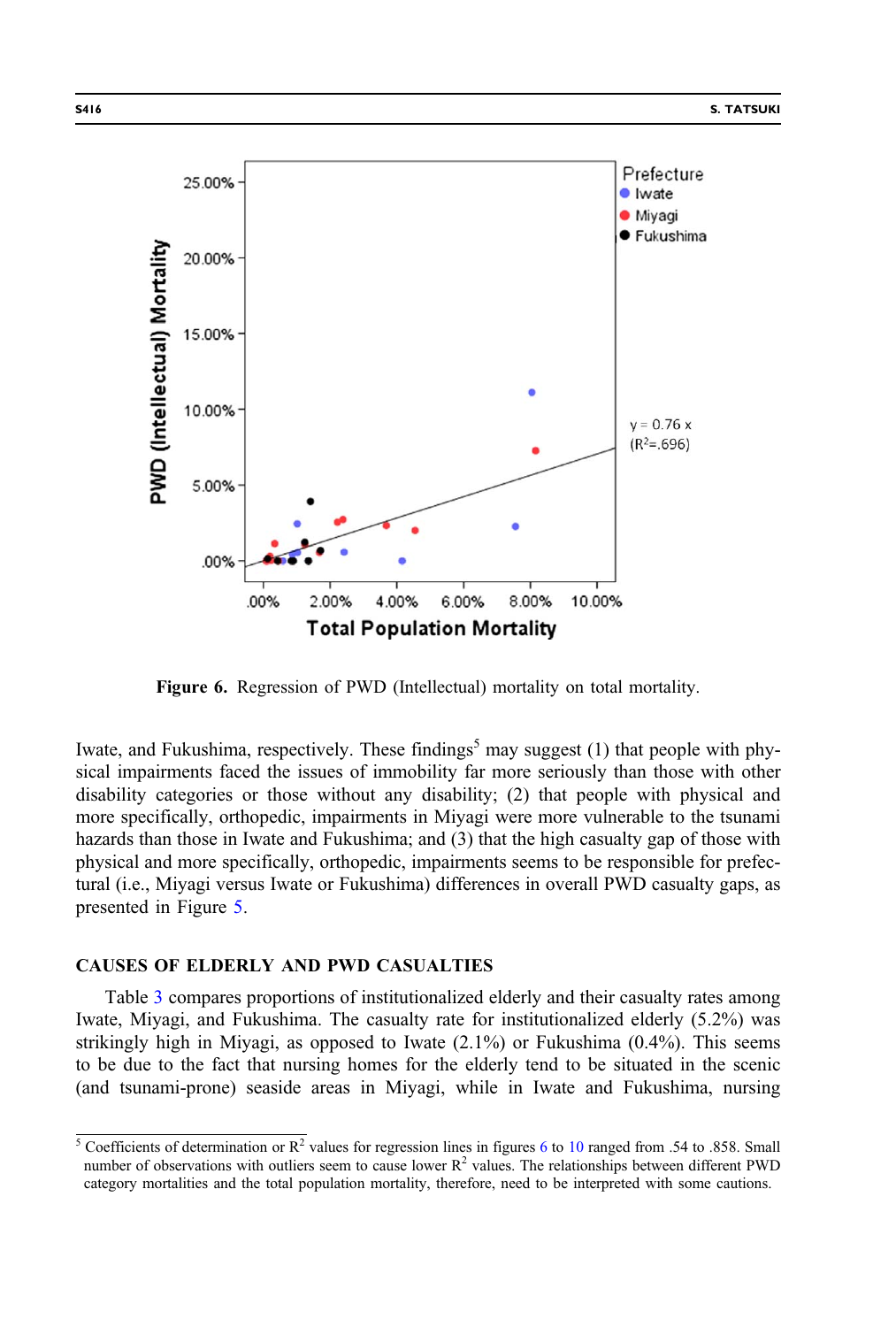<span id="page-13-0"></span>

Figure 6. Regression of PWD (Intellectual) mortality on total mortality.

Iwate, and Fukushima, respectively. These findings<sup>5</sup> may suggest (1) that people with physical impairments faced the issues of immobility far more seriously than those with other disability categories or those without any disability; (2) that people with physical and more specifically, orthopedic, impairments in Miyagi were more vulnerable to the tsunami hazards than those in Iwate and Fukushima; and (3) that the high casualty gap of those with physical and more specifically, orthopedic, impairments seems to be responsible for prefectural (i.e., Miyagi versus Iwate or Fukushima) differences in overall PWD casualty gaps, as presented in Figure [5.](#page-12-0)

## **CAUSES OF ELDERLY AND PWD CASUALTIES** CAUSES OF ELDERLY AND PWD CASUALTIES

Table [3](#page-18-0) compares proportions of institutionalized elderly and their casualty rates among Iwate, Miyagi, and Fukushima. The casualty rate for institutionalized elderly (5.2%) was strikingly high in Miyagi, as opposed to Iwate  $(2.1\%)$  or Fukushima  $(0.4\%)$ . This seems to be due to the fact that nursing homes for the elderly tend to be situated in the scenic (and tsunami-prone) seaside areas in Miyagi, while in Iwate and Fukushima, nursing

<sup>&</sup>lt;sup>5</sup> Coefficients of determination or  $R^2$  values for regression lines in figures 6 to [10](#page-17-0) ranged from .54 to .858. Small number of observations with outliers seem to cause lower  $R^2$  values. The relationships between different PWD category mortalities and the total population mortality, therefore, need to be interpreted with some cautions.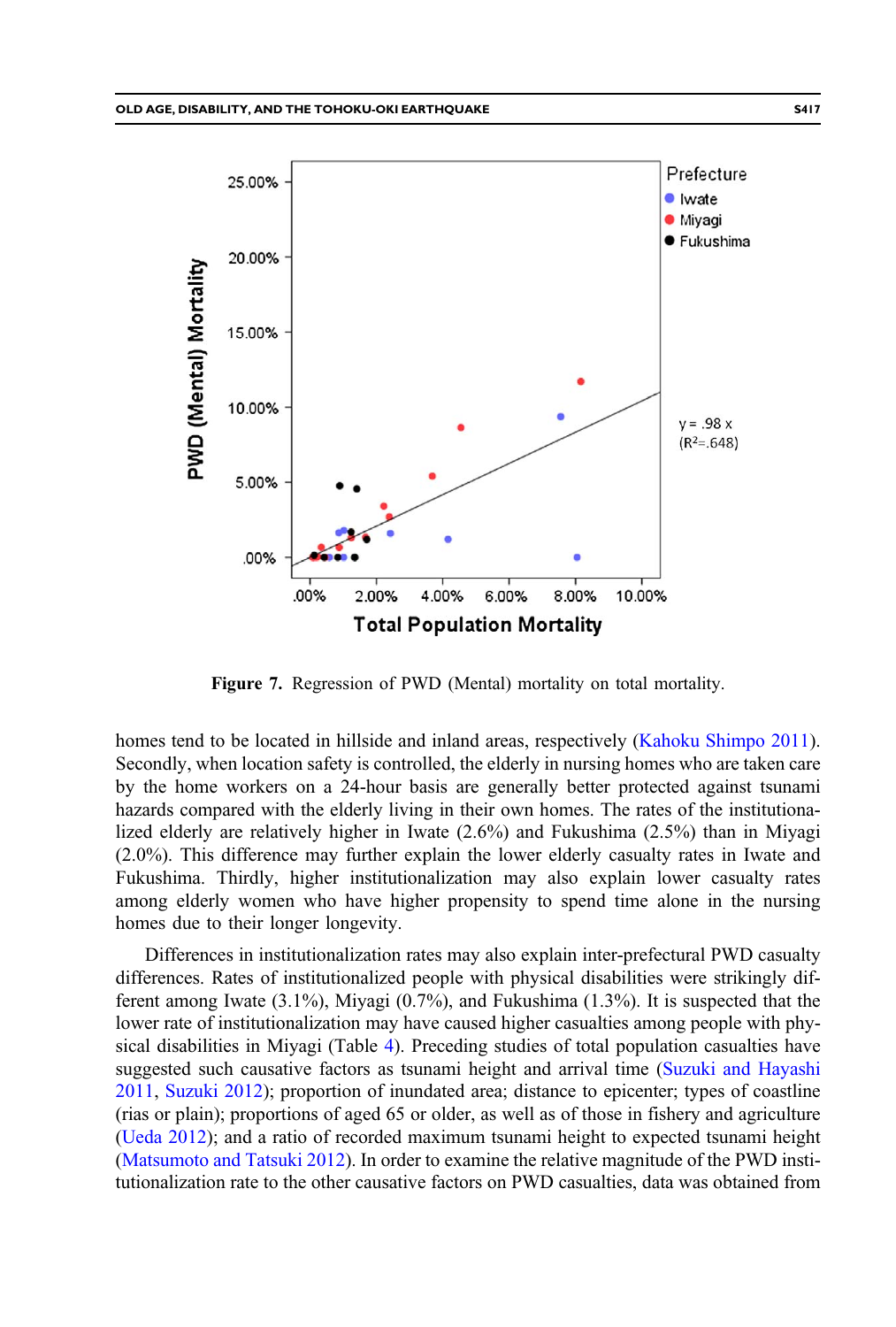<span id="page-14-0"></span>

Figure 7. Regression of PWD (Mental) mortality on total mortality.

homes tend to be located in hillside and inland areas, respectively ([Kahoku Shimpo 2011](#page-28-0)). Secondly, when location safety is controlled, the elderly in nursing homes who are taken care by the home workers on a 24-hour basis are generally better protected against tsunami hazards compared with the elderly living in their own homes. The rates of the institutionalized elderly are relatively higher in Iwate (2.6%) and Fukushima (2.5%) than in Miyagi (2.0%). This difference may further explain the lower elderly casualty rates in Iwate and Fukushima. Thirdly, higher institutionalization may also explain lower casualty rates among elderly women who have higher propensity to spend time alone in the nursing homes due to their longer longevity.

Differences in institutionalization rates may also explain inter-prefectural PWD casualty differences. Rates of institutionalized people with physical disabilities were strikingly different among Iwate (3.1%), Miyagi (0.7%), and Fukushima (1.3%). It is suspected that the lower rate of institutionalization may have caused higher casualties among people with physical disabilities in Miyagi (Table [4\)](#page-19-0). Preceding studies of total population casualties have suggested such causative factors as tsunami height and arrival time ([Suzuki and Hayashi](#page-29-0) [2011,](#page-29-0) [Suzuki 2012\)](#page-29-0); proportion of inundated area; distance to epicenter; types of coastline (rias or plain); proportions of aged 65 or older, as well as of those in fishery and agriculture [\(Ueda 2012](#page-29-0)); and a ratio of recorded maximum tsunami height to expected tsunami height [\(Matsumoto and Tatsuki 2012](#page-28-0)). In order to examine the relative magnitude of the PWD institutionalization rate to the other causative factors on PWD casualties, data was obtained from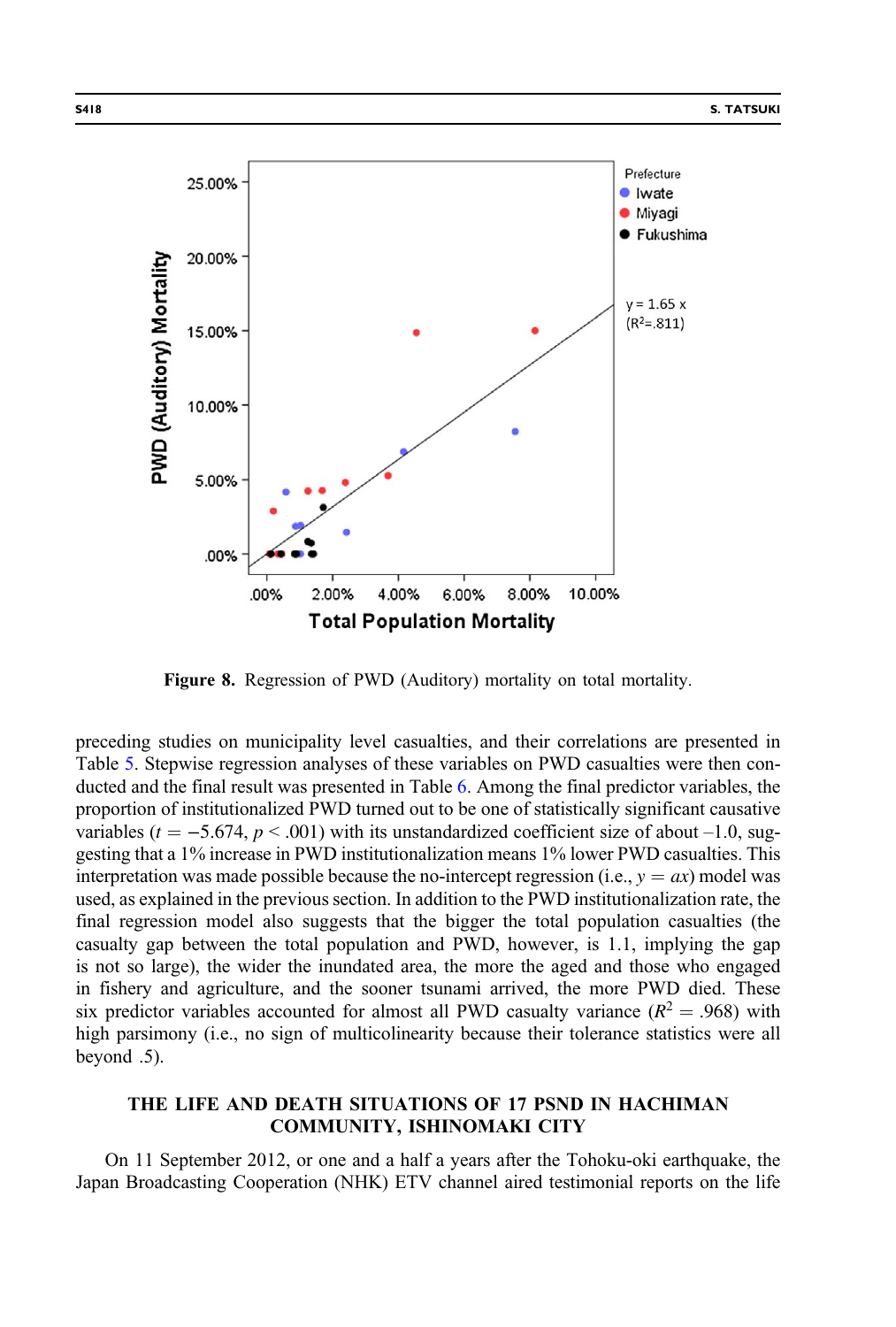<span id="page-15-0"></span>

Figure 8. Regression of PWD (Auditory) mortality on total mortality.

preceding studies on municipality level casualties, and their correlations are presented in Table [5.](#page-20-0) Stepwise regression analyses of these variables on PWD casualties were then conducted and the final result was presented in Table [6](#page-20-0). Among the final predictor variables, the proportion of institutionalized PWD turned out to be one of statistically significant causative variables ( $t = -5.674$ ,  $p < .001$ ) with its unstandardized coefficient size of about –1.0, suggesting that a 1% increase in PWD institutionalization means 1% lower PWD casualties. This interpretation was made possible because the no-intercept regression (i.e.,  $y = ax$ ) model was used, as explained in the previous section. In addition to the PWD institutionalization rate, the final regression model also suggests that the bigger the total population casualties (the casualty gap between the total population and PWD, however, is 1.1, implying the gap is not so large), the wider the inundated area, the more the aged and those who engaged in fishery and agriculture, and the sooner tsunami arrived, the more PWD died. These six predictor variables accounted for almost all PWD casualty variance  $(R^2 = .968)$  with high parsimony (i.e., no sign of multicolinearity because their tolerance statistics were all beyond .5).

## THE LIFE AND DEATH SITUATIONS OF 17 PSND IN HACHIMAN COMMUNITY, ISHINOMAKI CITY COMMUNITY, ISHINOMAKI CITY

On 11 September 2012, or one and a half a years after the Tohoku-oki earthquake, the Japan Broadcasting Cooperation (NHK) ETV channel aired testimonial reports on the life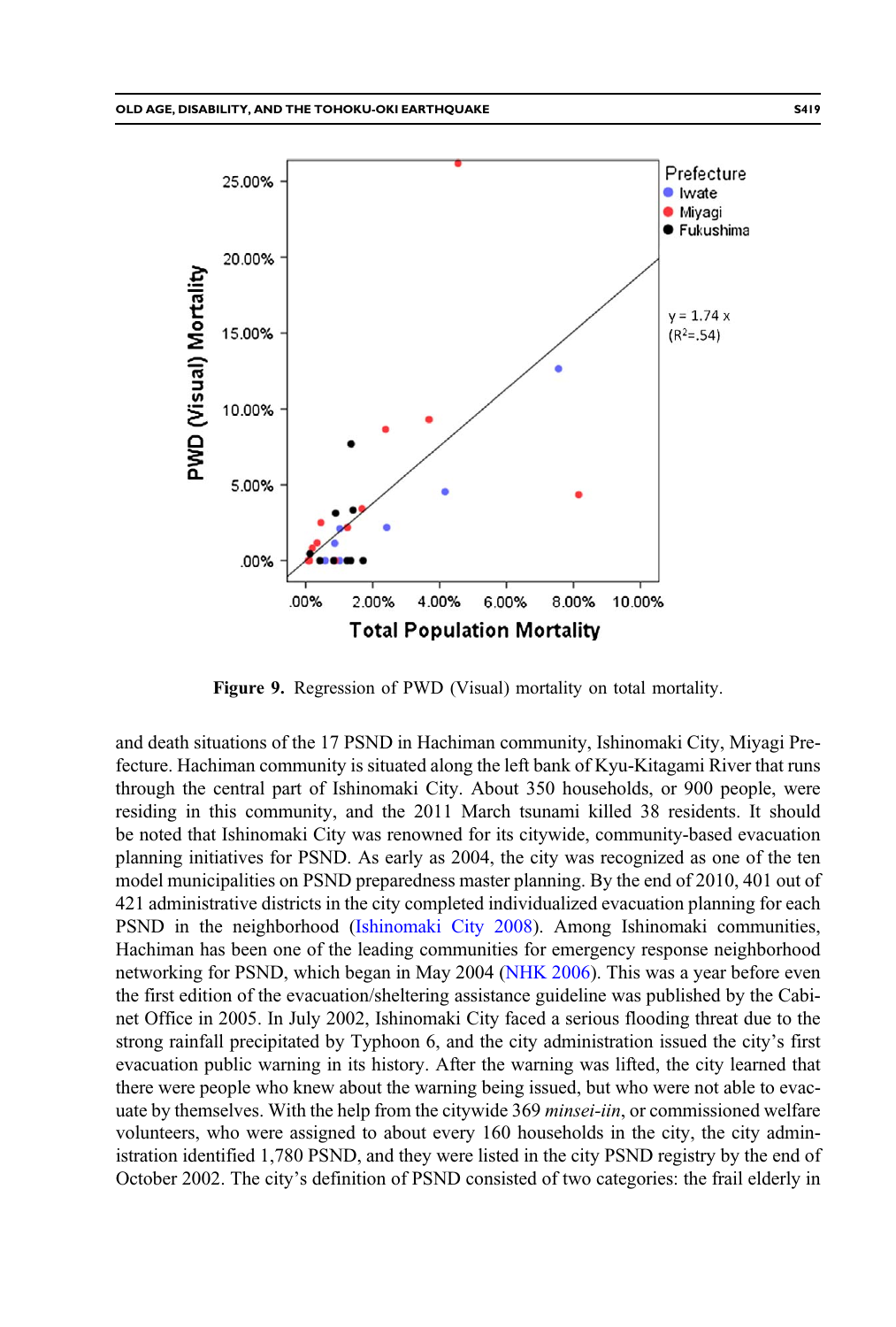<span id="page-16-0"></span>

Figure 9. Regression of PWD (Visual) mortality on total mortality.

and death situations of the 17 PSND in Hachiman community, Ishinomaki City, Miyagi Prefecture. Hachiman community is situated along the left bank of Kyu-Kitagami River that runs through the central part of Ishinomaki City. About 350 households, or 900 people, were residing in this community, and the 2011 March tsunami killed 38 residents. It should be noted that Ishinomaki City was renowned for its citywide, community-based evacuation planning initiatives for PSND. As early as 2004, the city was recognized as one of the ten model municipalities on PSND preparedness master planning. By the end of 2010, 401 out of 421 administrative districts in the city completed individualized evacuation planning for each PSND in the neighborhood ([Ishinomaki City 2008](#page-27-0)). Among Ishinomaki communities, Hachiman has been one of the leading communities for emergency response neighborhood networking for PSND, which began in May 2004 [\(NHK 2006](#page-27-0)). This was a year before even the first edition of the evacuation/sheltering assistance guideline was published by the Cabinet Office in 2005. In July 2002, Ishinomaki City faced a serious flooding threat due to the strong rainfall precipitated by Typhoon 6, and the city administration issued the city's first evacuation public warning in its history. After the warning was lifted, the city learned that there were people who knew about the warning being issued, but who were not able to evacuate by themselves. With the help from the citywide 369 *minsei-iin*, or commissioned welfare volunteers, who were assigned to about every 160 households in the city, the city administration identified 1,780 PSND, and they were listed in the city PSND registry by the end of October 2002. The city's definition of PSND consisted of two categories: the frail elderly in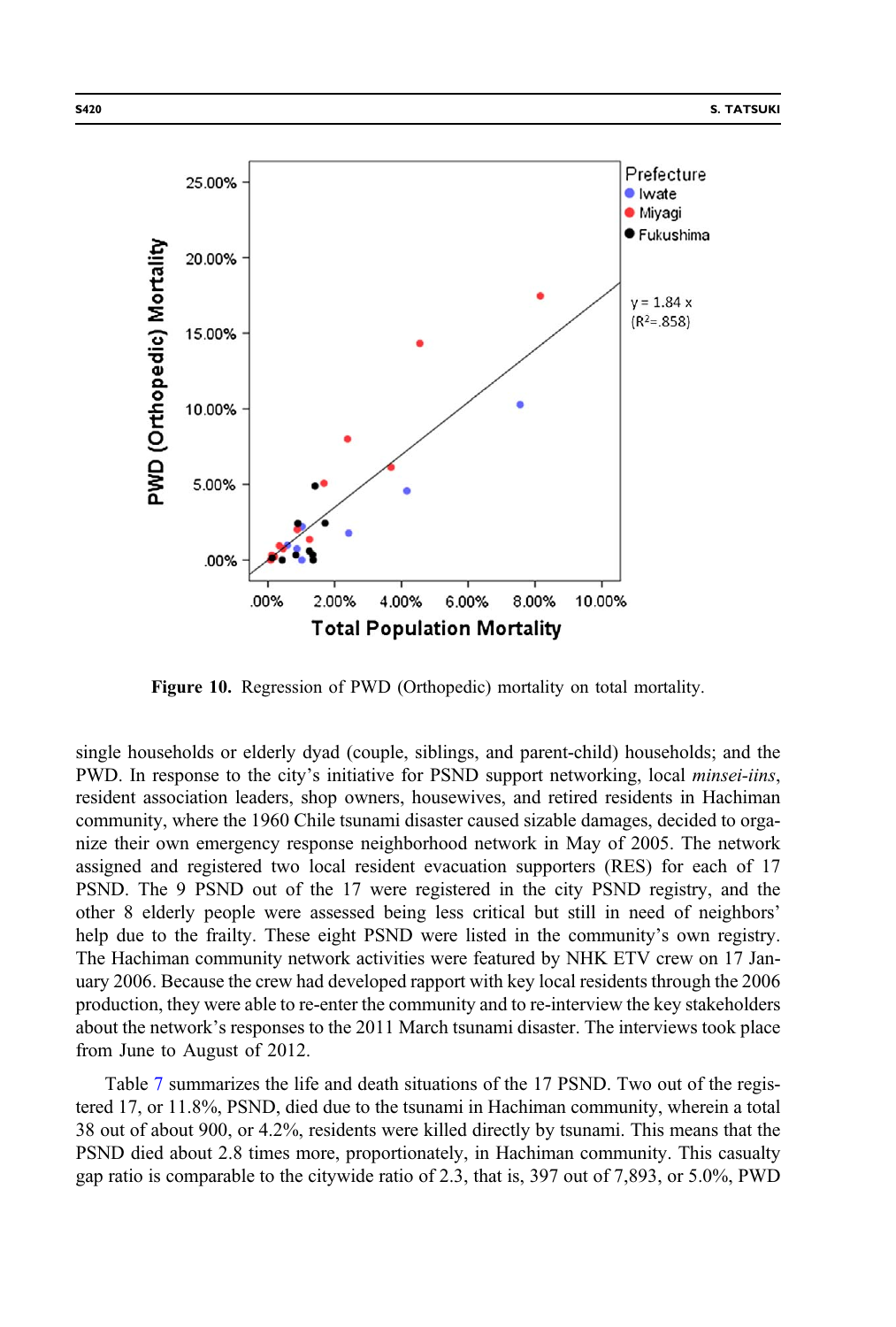<span id="page-17-0"></span>

Figure 10. Regression of PWD (Orthopedic) mortality on total mortality.

single households or elderly dyad (couple, siblings, and parent-child) households; and the PWD. In response to the city's initiative for PSND support networking, local *minsei-iins*, resident association leaders, shop owners, housewives, and retired residents in Hachiman community, where the 1960 Chile tsunami disaster caused sizable damages, decided to organize their own emergency response neighborhood network in May of 2005. The network assigned and registered two local resident evacuation supporters (RES) for each of 17 PSND. The 9 PSND out of the 17 were registered in the city PSND registry, and the other 8 elderly people were assessed being less critical but still in need of neighbors' help due to the frailty. These eight PSND were listed in the community's own registry. The Hachiman community network activities were featured by NHK ETV crew on 17 January 2006. Because the crew had developed rapport with key local residents through the 2006 production, they were able to re-enter the community and to re-interview the key stakeholders about the network's responses to the 2011 March tsunami disaster. The interviews took place from June to August of 2012.

Table [7](#page-21-0) summarizes the life and death situations of the 17 PSND. Two out of the registered 17, or 11.8%, PSND, died due to the tsunami in Hachiman community, wherein a total 38 out of about 900, or 4.2%, residents were killed directly by tsunami. This means that the PSND died about 2.8 times more, proportionately, in Hachiman community. This casualty gap ratio is comparable to the citywide ratio of 2.3, that is, 397 out of 7,893, or 5.0%, PWD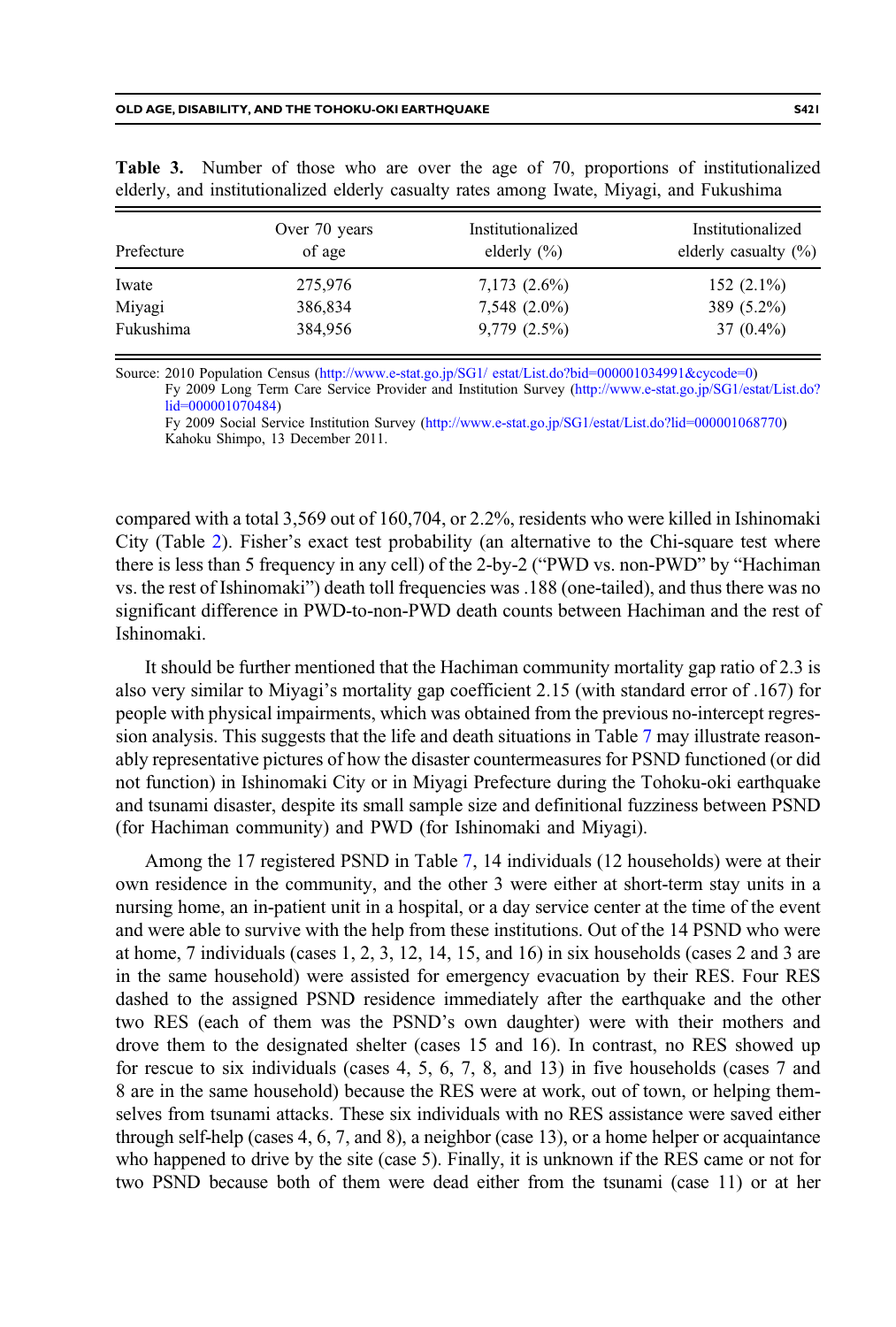#### <span id="page-18-0"></span>OLD AGE, DISABILITY, AND THE TOHOKU-OKI EARTHQUAKE NAMES AND SALL SALL SALL SALL SALL

| Prefecture | Over 70 years<br>of age | Institutionalized<br>elderly $(\% )$ | Institutionalized<br>elderly casualty $(\% )$ |
|------------|-------------------------|--------------------------------------|-----------------------------------------------|
| Iwate      | 275,976                 | $7,173(2.6\%)$                       | $152(2.1\%)$                                  |
| Miyagi     | 386,834                 | 7,548 (2.0%)                         | 389 (5.2%)                                    |
| Fukushima  | 384.956                 | $9,779(2.5\%)$                       | $37(0.4\%)$                                   |

Table 3. Number of those who are over the age of 70, proportions of institutionalized elderly, and institutionalized elderly casualty rates among Iwate, Miyagi, and Fukushima

Source: 2010 Population Census [\(http://www.e-stat.go.jp/SG1/ estat/List.do?bid=000001034991&cycode=0\)](http://www.e-stat.go.jp/SG1/estat/List.do?bid=000001034991&cycode=0)

Fy 2009 Long Term Care Service Provider and Institution Survey [\(http://www.e-stat.go.jp/SG1/estat/List.do?](http://www.e-stat.go.jp/SG1/estat/List.do?lid=000001070484) [lid=000001070484](http://www.e-stat.go.jp/SG1/estat/List.do?lid=000001070484))

Fy 2009 Social Service Institution Survey ([http://www.e-stat.go.jp/SG1/estat/List.do?lid=000001068770\)](http://www.e-stat.go.jp/SG1/estat/List.do?lid=000001068770) Kahoku Shimpo, 13 December 2011.

compared with a total 3,569 out of 160,704, or 2.2%, residents who were killed in Ishinomaki City (Table [2](#page-9-0)). Fisher's exact test probability (an alternative to the Chi-square test where there is less than 5 frequency in any cell) of the 2-by-2 ("PWD vs. non-PWD" by "Hachiman vs. the rest of Ishinomaki") death toll frequencies was .188 (one-tailed), and thus there was no significant difference in PWD-to-non-PWD death counts between Hachiman and the rest of Ishinomaki.

It should be further mentioned that the Hachiman community mortality gap ratio of 2.3 is also very similar to Miyagi's mortality gap coefficient 2.15 (with standard error of .167) for people with physical impairments, which was obtained from the previous no-intercept regression analysis. This suggests that the life and death situations in Table [7](#page-21-0) may illustrate reasonably representative pictures of how the disaster countermeasures for PSND functioned (or did not function) in Ishinomaki City or in Miyagi Prefecture during the Tohoku-oki earthquake and tsunami disaster, despite its small sample size and definitional fuzziness between PSND (for Hachiman community) and PWD (for Ishinomaki and Miyagi).

Among the 17 registered PSND in Table [7](#page-21-0), 14 individuals (12 households) were at their own residence in the community, and the other 3 were either at short-term stay units in a nursing home, an in-patient unit in a hospital, or a day service center at the time of the event and were able to survive with the help from these institutions. Out of the 14 PSND who were at home, 7 individuals (cases 1, 2, 3, 12, 14, 15, and 16) in six households (cases 2 and 3 are in the same household) were assisted for emergency evacuation by their RES. Four RES dashed to the assigned PSND residence immediately after the earthquake and the other two RES (each of them was the PSND's own daughter) were with their mothers and drove them to the designated shelter (cases 15 and 16). In contrast, no RES showed up for rescue to six individuals (cases 4, 5, 6, 7, 8, and 13) in five households (cases 7 and 8 are in the same household) because the RES were at work, out of town, or helping themselves from tsunami attacks. These six individuals with no RES assistance were saved either through self-help (cases 4, 6, 7, and 8), a neighbor (case 13), or a home helper or acquaintance who happened to drive by the site (case 5). Finally, it is unknown if the RES came or not for two PSND because both of them were dead either from the tsunami (case 11) or at her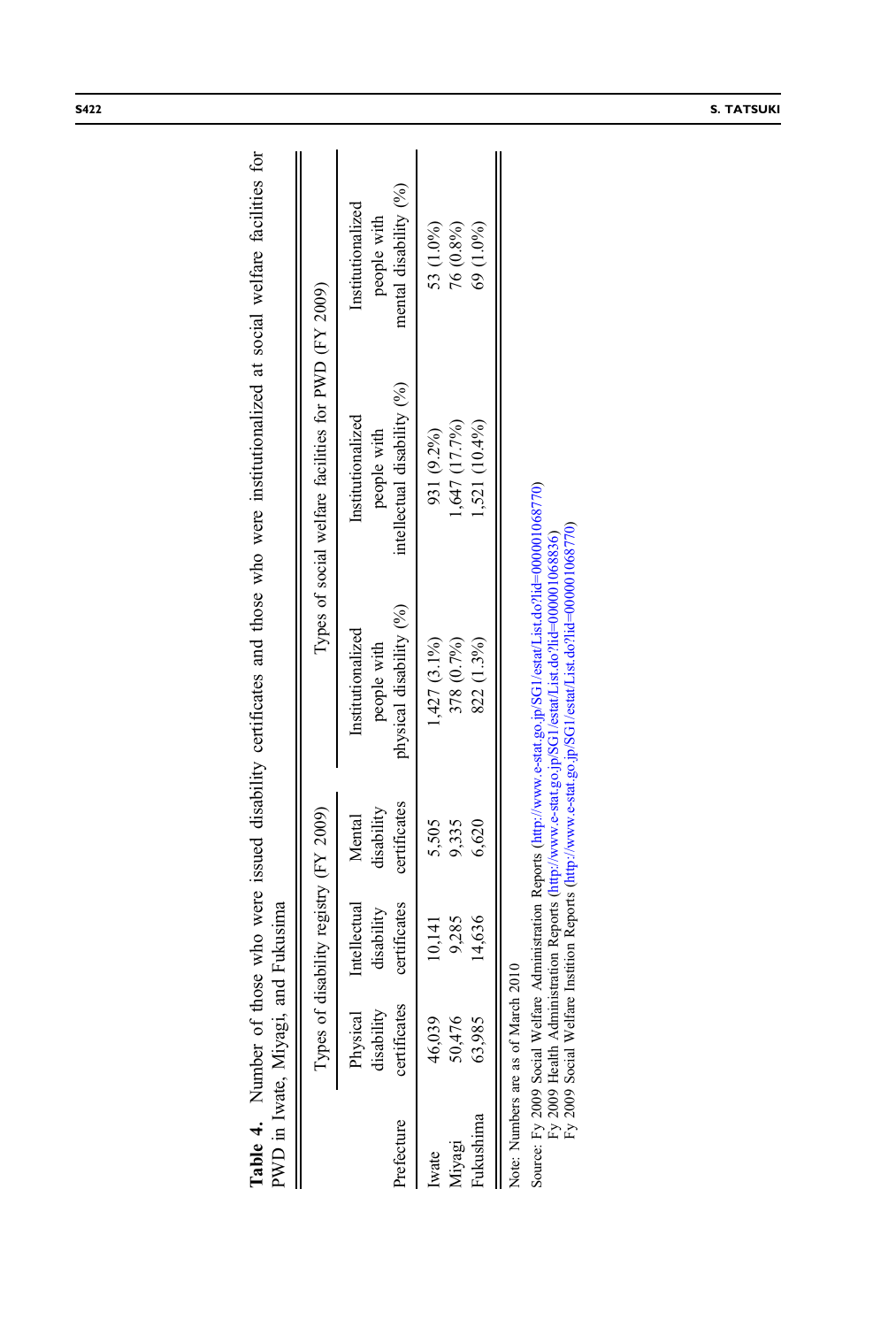|                       | WD in Iwate, Miyagi, and              | Types of disability registry (FY 2009)<br>Fukusima |                                      |                                                             | Types of social welfare facilities for PWD (FY 2009)            |                                                           |
|-----------------------|---------------------------------------|----------------------------------------------------|--------------------------------------|-------------------------------------------------------------|-----------------------------------------------------------------|-----------------------------------------------------------|
| refecture             | certificates<br>disability<br>hysical | Intellectual<br>certificates<br>disability         | certificates<br>disability<br>Mental | physical disability (%)<br>Institutionalized<br>people with | intellectual disability (%)<br>Institutionalized<br>people with | mental disability (%)<br>Institutionalized<br>people with |
| <i>liyagi</i><br>wate | 50,476<br>46,039                      | 9,285<br>10,141                                    | 5,505<br>9,335                       | $1,427(3.1\%)$<br>378 (0.7%)                                | 1,647 (17.7%)<br>931 (9.2%)                                     | 76 (0.8%)<br>53 (1.0%)                                    |
| ukusnima              | 63,985                                | 14,636                                             | 6,620                                | 822 (1.3%)                                                  | 1,521 (10.4%)                                                   | 69 (1.0%)                                                 |
|                       | Jote: Numbers are as of March 201     |                                                    |                                      |                                                             |                                                                 |                                                           |

Table 4. Number of those who were issued disability certificates and those who were institutionalized at social welfare facilities for

<span id="page-19-0"></span>Table 4. Number of those who were issued disability certificates and those who were institutionalized at social welfare facilities for

Source: Fy 2009 Social Welfare Administration Reports (http://www.e-stat.go.jp/SG1/estat/List.do?lid=000001068770)<br>Fy 2009 Health Administration Reports (http://www.e-stat.go.jp/SG1/estat/List.do?lid=000001068836)<br>Fy 2009 Source: Fy 2009 Social Welfare Administration Reports [\(http://www.e-stat.go.jp/SG1/estat/List.do?lid=000001068770\)](http://www.e-stat.go.jp/SG1/estat/List.do?lid=000001068770) Fy 2009 Social Welfare Instition Reports (<http://www.e-stat.go.jp/SG1/estat/List.do?lid=000001068770>) Fy 2009 Health Administration Reports (<http://www.e-stat.go.jp/SG1/estat/List.do?lid=000001068836>)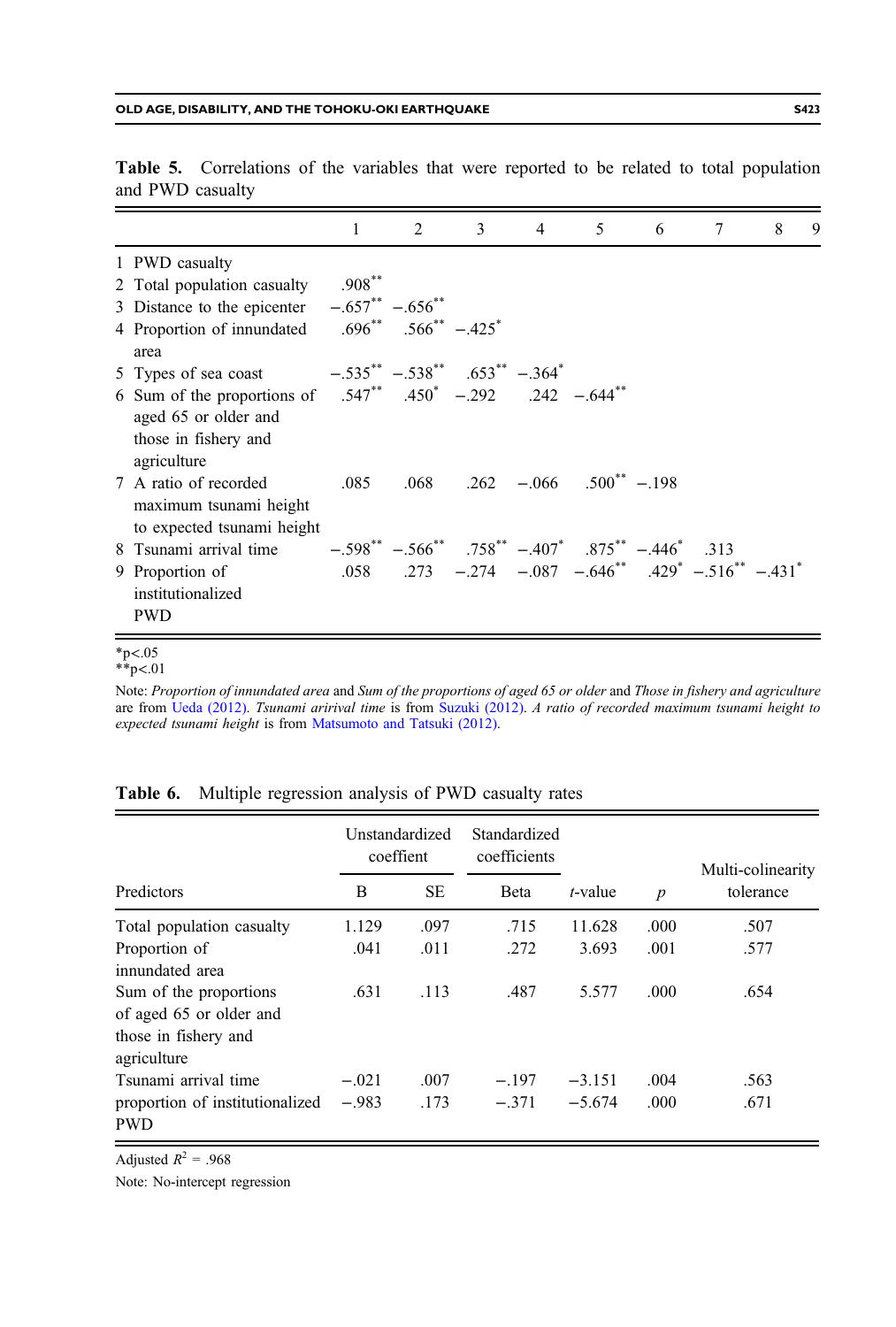|                                                                                                        | 1         | 2 | 3 | $4 \quad$ | 5                                                                                | 6 | $7\phantom{.0}$                                     | 8 | 9 |
|--------------------------------------------------------------------------------------------------------|-----------|---|---|-----------|----------------------------------------------------------------------------------|---|-----------------------------------------------------|---|---|
| 1 PWD casualty                                                                                         |           |   |   |           |                                                                                  |   |                                                     |   |   |
| 2 Total population casualty                                                                            | $.908***$ |   |   |           |                                                                                  |   |                                                     |   |   |
| 3 Distance to the epicenter $-.657^{**}$ -.656**                                                       |           |   |   |           |                                                                                  |   |                                                     |   |   |
| 4 Proportion of innundated $.696^{**}$ $.566^{**}$ $-.425^{*}$                                         |           |   |   |           |                                                                                  |   |                                                     |   |   |
| area<br>5 Types of sea coast $-0.535^{**} -0.538^{**} -0.653^{**} -0.364^{**}$                         |           |   |   |           |                                                                                  |   |                                                     |   |   |
|                                                                                                        |           |   |   |           |                                                                                  |   |                                                     |   |   |
| 6 Sum of the proportions of $.547^{**}$ $.450^{*}$ $-.292$ $.242$ $-.644^{**}$<br>aged 65 or older and |           |   |   |           |                                                                                  |   |                                                     |   |   |
| those in fishery and                                                                                   |           |   |   |           |                                                                                  |   |                                                     |   |   |
| agriculture                                                                                            |           |   |   |           | $.085$ $.068$ $.262$ $-.066$ $.500^{**}$ $-.198$                                 |   |                                                     |   |   |
| 7 A ratio of recorded<br>maximum tsunami height                                                        |           |   |   |           |                                                                                  |   |                                                     |   |   |
| to expected tsunami height                                                                             |           |   |   |           |                                                                                  |   |                                                     |   |   |
| 8 Tsunami arrival time                                                                                 |           |   |   |           | $-.598^{**}$ $-.566^{**}$ $.758^{**}$ $-.407^{*}$ $.875^{**}$ $-.446^{*}$ $.313$ |   |                                                     |   |   |
| 9 Proportion of                                                                                        |           |   |   |           |                                                                                  |   | .058 .273 -.274 -.087 -.646* $.429^*$ -.516** -431* |   |   |
| institutionalized                                                                                      |           |   |   |           |                                                                                  |   |                                                     |   |   |
| <b>PWD</b>                                                                                             |           |   |   |           |                                                                                  |   |                                                     |   |   |

<span id="page-20-0"></span>Table 5. Correlations of the variables that were reported to be related to total population and PWD casualty

\*\*p<.01

Note: Proportion of innundated area and Sum of the proportions of aged 65 or older and Those in fishery and agriculture are from [Ueda \(2012\).](#page-29-0) Tsunami aririval time is from [Suzuki \(2012\)](#page-29-0). A ratio of recorded maximum tsunami height to expected tsunami height is from [Matsumoto and Tatsuki \(2012\).](#page-28-0)

|                                                                                          | coeffient          | Unstandardized | Standardized<br>coefficients |                      |                  | Multi-colinearity |
|------------------------------------------------------------------------------------------|--------------------|----------------|------------------------------|----------------------|------------------|-------------------|
| Predictors                                                                               | B                  | <b>SE</b>      | <b>B</b> eta                 | <i>t</i> -value      | $\boldsymbol{p}$ | tolerance         |
| Total population casualty                                                                | 1.129              | .097           | .715                         | 11.628               | .000             | .507              |
| Proportion of<br>innundated area                                                         | .041               | .011           | .272                         | 3.693                | .001             | .577              |
| Sum of the proportions<br>of aged 65 or older and<br>those in fishery and<br>agriculture | .631               | .113           | .487                         | 5.577                | .000             | .654              |
| Tsunami arrival time<br>proportion of institutionalized<br><b>PWD</b>                    | $-.021$<br>$-.983$ | .007<br>.173   | $-.197$<br>$-.371$           | $-3.151$<br>$-5.674$ | .004<br>.000     | .563<br>.671      |

| Table 6. Multiple regression analysis of PWD casualty rates |  |
|-------------------------------------------------------------|--|
|                                                             |  |

Adjusted  $R^2$  = .968

Note: No-intercept regression

 $*p<.05$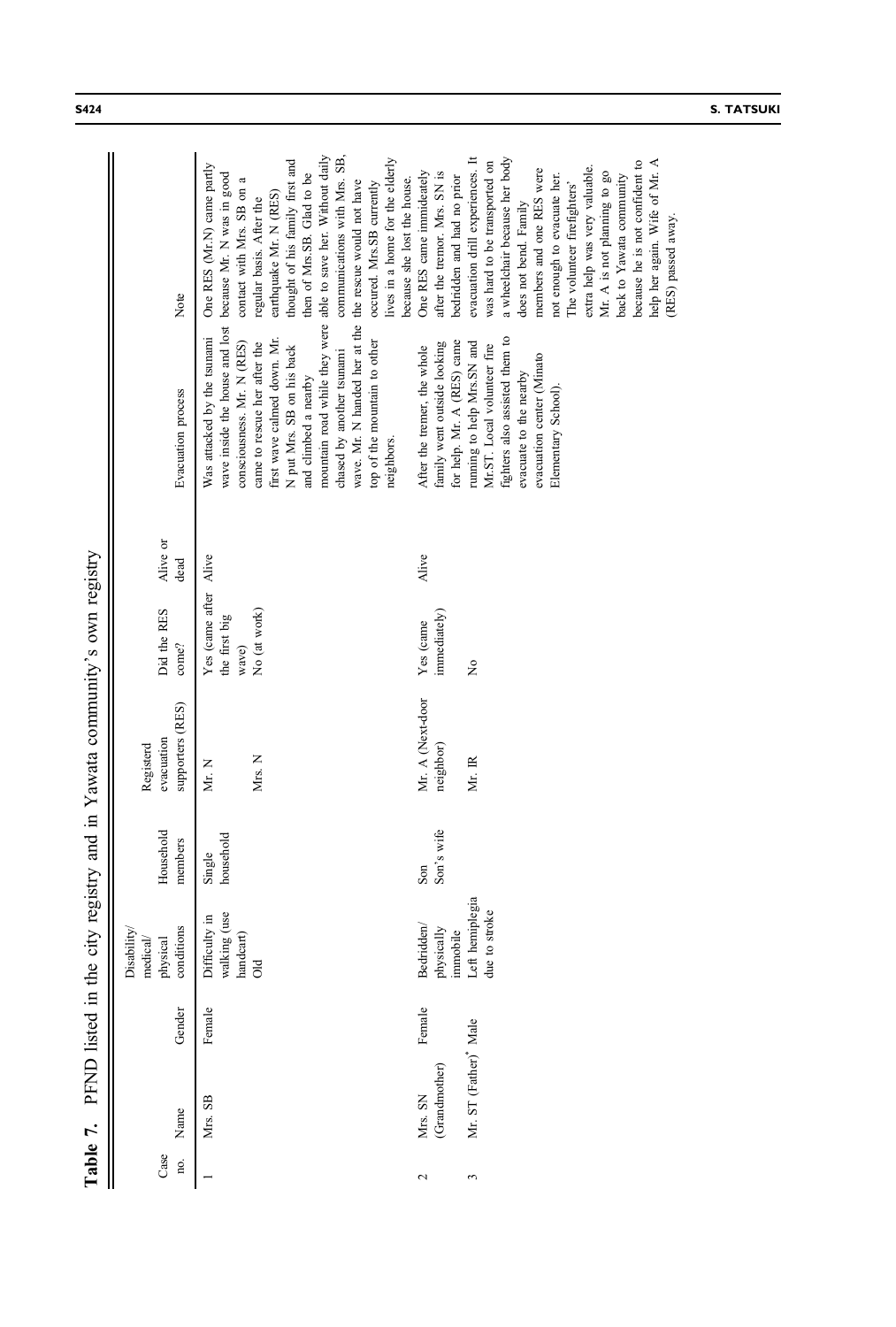<span id="page-21-0"></span>

|                        | Table 7. PFND listed in the       |        |                                                                                                    |                      | city registry and in Yawata community's own registry |                                                                 |                  |                                                                                                                                                                                                                                                                                                                                                              |                                                                                                                                                                                                                                                                                                                                                                                      |
|------------------------|-----------------------------------|--------|----------------------------------------------------------------------------------------------------|----------------------|------------------------------------------------------|-----------------------------------------------------------------|------------------|--------------------------------------------------------------------------------------------------------------------------------------------------------------------------------------------------------------------------------------------------------------------------------------------------------------------------------------------------------------|--------------------------------------------------------------------------------------------------------------------------------------------------------------------------------------------------------------------------------------------------------------------------------------------------------------------------------------------------------------------------------------|
| Case<br>no.            | Name                              | Gender | conditions<br>Disability/<br>$\,$ medical/ $\,$ physical                                           | Household<br>members | supporters (RES)<br>evacuation<br>Registerd          | Did the RES<br>come?                                            | Alive or<br>dead | Evacuation process                                                                                                                                                                                                                                                                                                                                           | Note                                                                                                                                                                                                                                                                                                                                                                                 |
|                        | Mrs. SB                           | Female | walking (use<br>Difficulty in<br>$\begin{array}{c} \mathtt{handcart)} \\ \mathtt{Old} \end{array}$ | household<br>Single  | Mrs. N<br>Mr. N                                      | Yes (came after Alive<br>No (at work)<br>the first big<br>wave) |                  | wave. Mr. N handed her at the<br>wave inside the house and lost<br>mountain road while they were<br>Was attacked by the tsunami<br>first wave calmed down. Mr.<br>top of the mountain to other<br>consciousness. Mr. N (RES)<br>came to rescue her after the<br>N put Mrs. SB on his back<br>chased by another tsunami<br>and climbed a nearby<br>neighbors. | able to save her. Without daily<br>communications with Mrs. SB,<br>ives in a home for the elderly<br>thought of his family first and<br>One RES (Mr.N) came partly<br>then of Mrs.SB. Glad to be<br>because Mr. N was in good<br>contact with Mrs. SB on a<br>the rescue would not have<br>occured. Mrs.SB currently<br>earthquake Mr. N (RES)<br>regular basis. After the           |
| $\mathbf{\mathcal{L}}$ | (Grandmother)<br>Mrs. SN          | Female | Bedridden/<br>$\begin{array}{c} {\rm physically} \\ {\rm immobile} \end{array}$                    | Son's wife<br>Son    | Mr. A (Next-door<br>neighbor)                        | immediately)<br>Yes (came                                       | Alive            | family went outside looking<br>After the tremer, the whole                                                                                                                                                                                                                                                                                                   | One RES came immideately<br>after the tremor. Mrs. SN is<br>bedridden and had no prior<br>because she lost the house.                                                                                                                                                                                                                                                                |
| 3                      | Mr. ST (Father) <sup>*</sup> Male |        | Left hemiplegia<br>due to stroke                                                                   |                      | Mr. IR                                               | $\frac{1}{2}$                                                   |                  | fighters also assisted them to<br>for help. Mr. A (RES) came<br>running to help Mrs.SN and<br>Mr.ST. Local volunteer fire<br>evacuation center (Minato<br>evacuate to the nearby<br>Elementary School).                                                                                                                                                      | evacuation drill experiences. It<br>a wheelchair because her body<br>help her again. Wife of Mr. A<br>because he is not confident to<br>was hard to be transported on<br>extra help was very valuable.<br>members and one RES were<br>Mr. A is not planning to go<br>not enough to evacuate her.<br>back to Yawata community<br>The volunteer firefighters'<br>does not bend. Family |
|                        |                                   |        |                                                                                                    |                      |                                                      |                                                                 |                  |                                                                                                                                                                                                                                                                                                                                                              | (RES) passed away.                                                                                                                                                                                                                                                                                                                                                                   |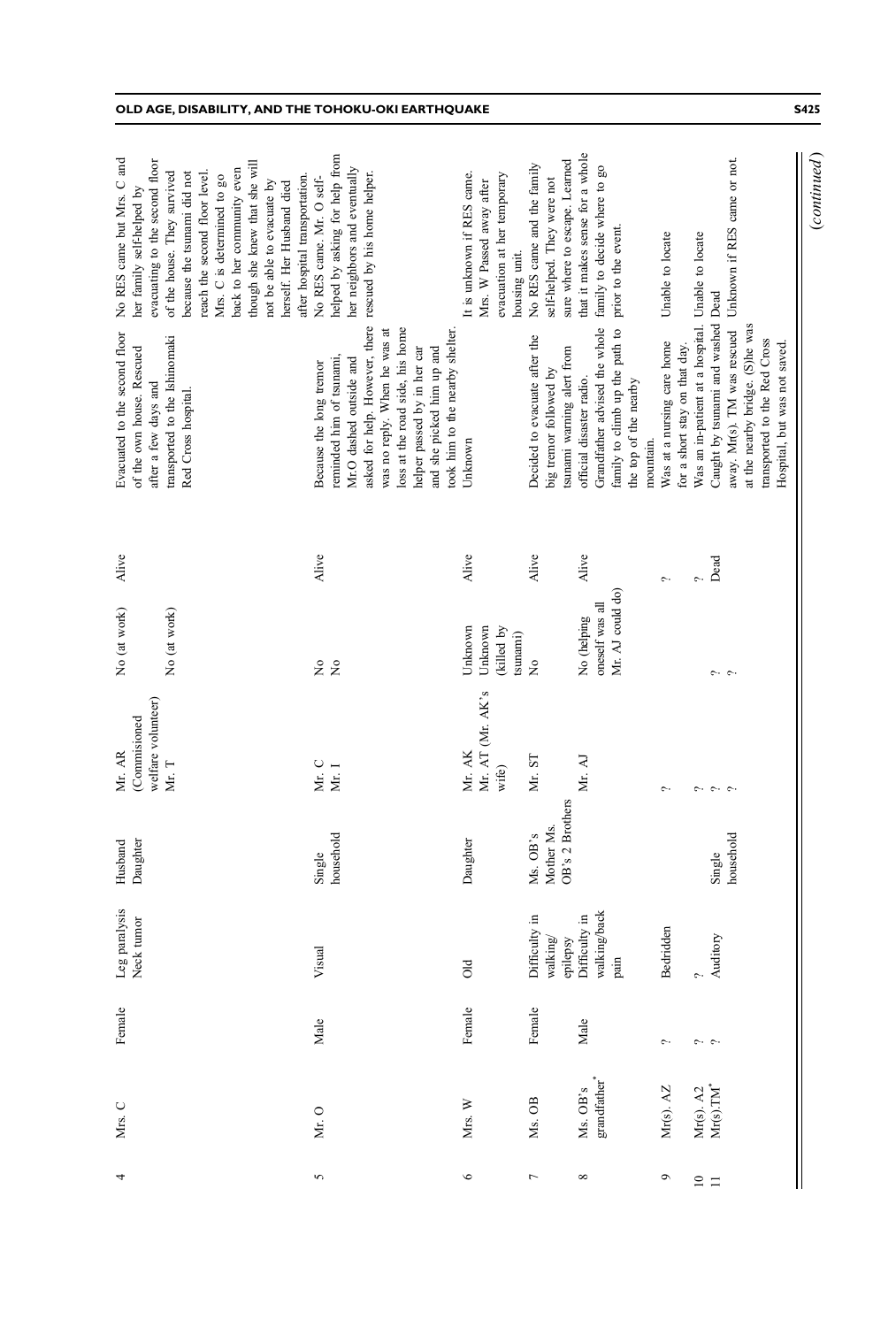|        | Mrs. C<br>Mr. O        | Female<br>Male      | Leg paralysis<br>Neck tumor<br>Visual                                  | household<br>Daughter<br>Husband<br>Single | welfare volunteer)<br>(Commisioned<br>Mr. AR<br>Mr. T<br>Mr. C<br>Mr. I | No (at work)<br>No (at work)<br>ż<br>$\tilde{z}$ | Alive<br>Alive | Evacuated to the second floor<br>transported to the Ishinomaki<br>of the own house. Rescued<br>reminded him of tsunami,<br>Because the long tremor<br>after a few days and<br>Red Cross hospital.                                      | helped by asking for help from<br>evacuating to the second floor<br>No RES came but Mrs. C and<br>though she knew that she will<br>back to her community even<br>of the house. They survived<br>reach the second floor level.<br>because the tsunami did not<br>Mrs. C is determined to go<br>after hospital transportation.<br>No RES came. Mr. O self-<br>not be able to evacuate by<br>herself. Her Husband died<br>her family self-helped by |
|--------|------------------------|---------------------|------------------------------------------------------------------------|--------------------------------------------|-------------------------------------------------------------------------|--------------------------------------------------|----------------|----------------------------------------------------------------------------------------------------------------------------------------------------------------------------------------------------------------------------------------|--------------------------------------------------------------------------------------------------------------------------------------------------------------------------------------------------------------------------------------------------------------------------------------------------------------------------------------------------------------------------------------------------------------------------------------------------|
|        | Mrs. W                 | Female              | O <sub>1</sub>                                                         | Daughter                                   | Mr. AT (Mr. AK's<br>Mr. AK<br>wife)                                     | Unknown<br>Unknown<br>(killed by<br>tsunami)     | Alive          | asked for help. However, there<br>was no reply. When he was at<br>loss at the road side, his home<br>took him to the nearby shelter.<br>helper passed by in her car<br>and she picked him up and<br>Mr.O dashed outside and<br>Unknown | ner neighbors and eventually<br>rescued by his home helper.<br>It is unknown if RES came.<br>evacuation at her temporary<br>Mrs. W Passed away after<br>housing unit.                                                                                                                                                                                                                                                                            |
| Ms. OB | Ms. OB's               | Female<br>Male      | walking/<br>epilepsy<br>Difficulty in<br>Walking/back<br>Difficulty in | OB's 2 Brothers<br>Mother Ms.<br>Ms. OB's  | Mr. ST<br>Mr. AJ                                                        | No (helping<br>$\frac{1}{2}$                     | Alive<br>Alive | Decided to evacuate after the<br>tsunami warning alert from<br>big tremor followed by<br>official disaster radio.                                                                                                                      | that it makes sense for a whole<br>sure where to escape. Learned<br>No RES came and the family<br>self-helped. They were not                                                                                                                                                                                                                                                                                                                     |
|        | grandfather*           |                     | pain                                                                   |                                            |                                                                         | Mr. AJ could do)<br>oneself was all              |                | Grandfather advised the whole<br>family to climb up the path to<br>the top of the nearby<br>mountain.                                                                                                                                  | family to decide where to go<br>prior to the event.                                                                                                                                                                                                                                                                                                                                                                                              |
|        | Mr(s). AZ<br>Mr(s). A2 | $\sim$ $\sim$<br>ç. | Bedridden<br>?<br>Auditory                                             |                                            | $\sim$                                                                  |                                                  | $\sim$         | Was an in-patient at a hospital.<br>Was at a nursing care home<br>for a short stay on that day.                                                                                                                                        | Unable to locate<br>Unable to locate                                                                                                                                                                                                                                                                                                                                                                                                             |
|        | $Mr(s) . TM^*$         |                     |                                                                        | household<br>Single                        | $\sim \sim \sim$                                                        | $\sim$<br>ç.                                     | Dead           | Caught by tsunami and washed Dead<br>away. Mr(s). TM was rescued<br>at the nearby bridge. (S)he was<br>transported to the Red Cross<br>Hospital, but was not saved.                                                                    | Unknown if RES came or not.                                                                                                                                                                                                                                                                                                                                                                                                                      |

(continued)

 $\label{eq:constrained} (continued)$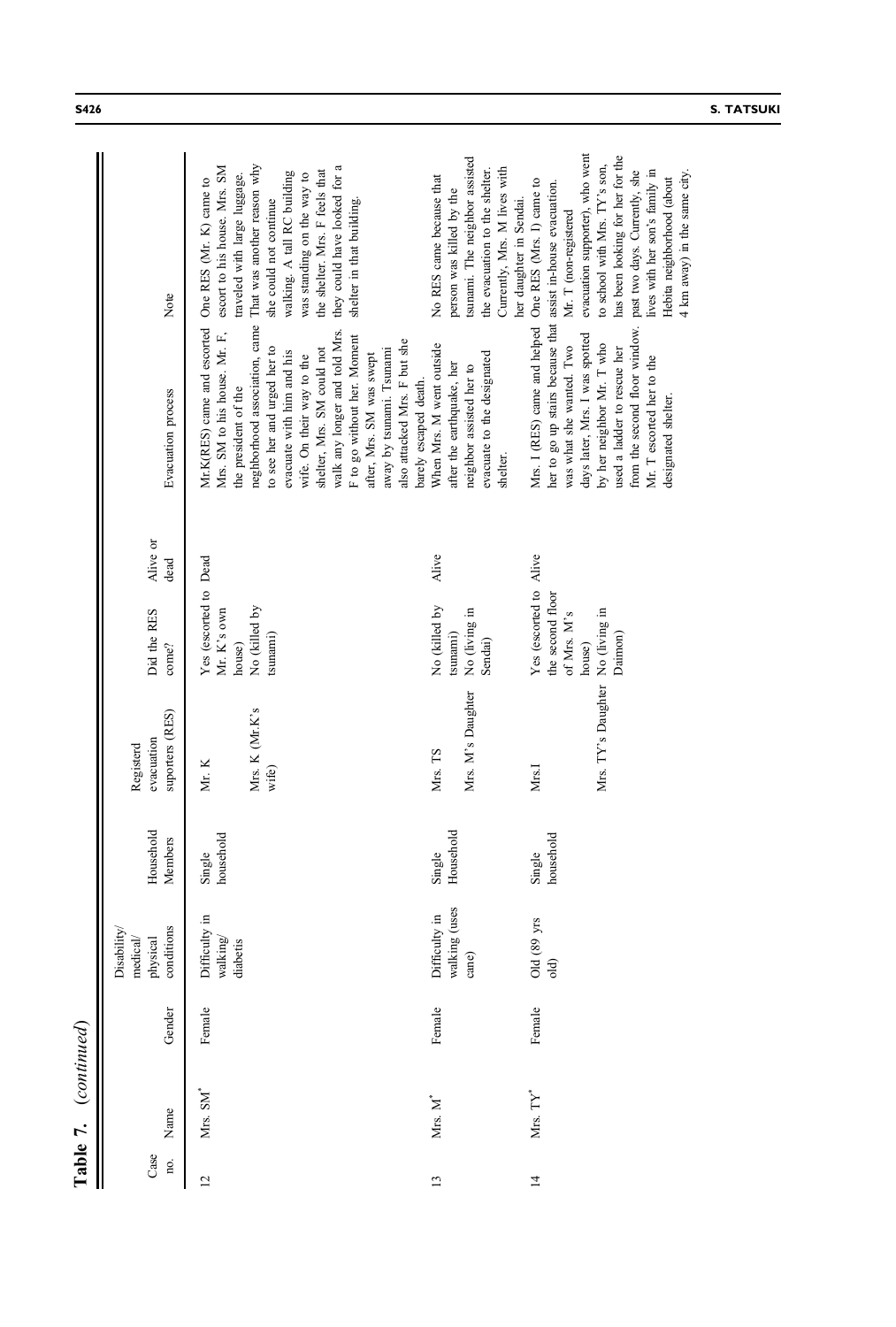|                 | Table 7. (continued) |        |                                                  |                      |                                            |                                                |                  |                                                                                                                       |                                                                                         |
|-----------------|----------------------|--------|--------------------------------------------------|----------------------|--------------------------------------------|------------------------------------------------|------------------|-----------------------------------------------------------------------------------------------------------------------|-----------------------------------------------------------------------------------------|
| Case<br>no.     | Name                 | Gender | conditions<br>Disability/<br>medical<br>physical | Household<br>Members | suporters (RES)<br>evacuation<br>Registerd | Did the RES<br>come?                           | Alive or<br>dead | Evacuation process                                                                                                    | Note                                                                                    |
| $\overline{12}$ | Mrs. SM <sup>*</sup> | Female | Difficulty in<br>walking<br>diabetis             | household<br>Single  | Mr. K                                      | Yes (escorted to Dead<br>Mr. K's own<br>house) |                  | Mr.K(RES) came and escorted<br>Mrs. SM to his house. Mr. F,<br>the president of the                                   | escort to his house. Mrs. SM<br>traveled with large luggage.<br>One RES (Mr. K) came to |
|                 |                      |        |                                                  |                      | Mrs. K (Mr.K's<br>wife)                    | No (killed by<br>sunami)                       |                  | neghborhood association, came That was another reason why<br>to see her and urged her to<br>evacuate with him and his | walking. A tall RC building<br>she could not continue                                   |
|                 |                      |        |                                                  |                      |                                            |                                                |                  | shelter, Mrs. SM could not<br>wife. On their way to the                                                               | the shelter. Mrs. F feels that<br>was standing on the way to                            |
|                 |                      |        |                                                  |                      |                                            |                                                |                  | walk any longer and told Mrs.<br>F to go without her. Moment                                                          | they could have looked for a<br>shelter in that building.                               |
|                 |                      |        |                                                  |                      |                                            |                                                |                  | away by tsunami. Tsunami<br>after, Mrs. SM was swept                                                                  |                                                                                         |
|                 |                      |        |                                                  |                      |                                            |                                                |                  | also attacked Mrs. F but she                                                                                          |                                                                                         |
| $\frac{13}{2}$  | Mrs. $M^*$           | Female | Difficulty in                                    | Single               | Mrs. TS                                    | No (killed by                                  | Alive            | When Mrs. M went outside<br>barely escaped death.                                                                     | No RES came because that                                                                |
|                 |                      |        | walking (uses                                    | Household            |                                            | tsunami)                                       |                  | after the earthquake, her                                                                                             | person was killed by the                                                                |
|                 |                      |        | cane)                                            |                      | Mrs. M's Daughter                          | No (living in                                  |                  | neighbor assisted her to                                                                                              | tsunami. The neighbor assisted                                                          |
|                 |                      |        |                                                  |                      |                                            | Sendai)                                        |                  | evacuate to the designated<br>shelter.                                                                                | Currently, Mrs. M lives with<br>the evacuation to the shelter.                          |
|                 |                      |        |                                                  |                      |                                            |                                                |                  |                                                                                                                       | her daughter in Sendai.                                                                 |
| $\overline{4}$  | Mrs. $\mathsf{TY}^*$ | Female | Old (89 yrs                                      | Single               | Mrs.I                                      | Yes (escorted to Alive                         |                  | Mrs. I (RES) came and helped One RES (Mrs. I) came to                                                                 |                                                                                         |
|                 |                      |        | old                                              | household            |                                            | the second floor<br>of Mrs. M's                |                  | her to go up stairs because that assist in-house evacuation.<br>was what she wanted. Two                              | Mr. T (non-registered                                                                   |
|                 |                      |        |                                                  |                      |                                            | house)                                         |                  | days later, Mrs. I was spotted                                                                                        | evacuation supporter), who went                                                         |

by her neighbor Mr. T who used a ladder to rescue her from the second floor window. Mr. T escorted her to the designated shelter.

by her neighbor Mr. T who used a ladder to rescue her Mr. T escorted her to the designated shelter.

from the second floor window.

Mrs. TY's Daughter No (living in Mrs. TY's Daughter No (living in<br>Daimon)

to school with Mrs. TY's son, has been looking for her for the past two days. Currently, she lives with her son's family in Hebita neighborhood (about 4 km away) in the same city.

to school with Mrs.  $\text{TY}{}'s$  son,

has been looking for her for the<br>past two days. Currently, she

lives with her son's family in

4 km away) in the same city.

Hebita neighborhood (about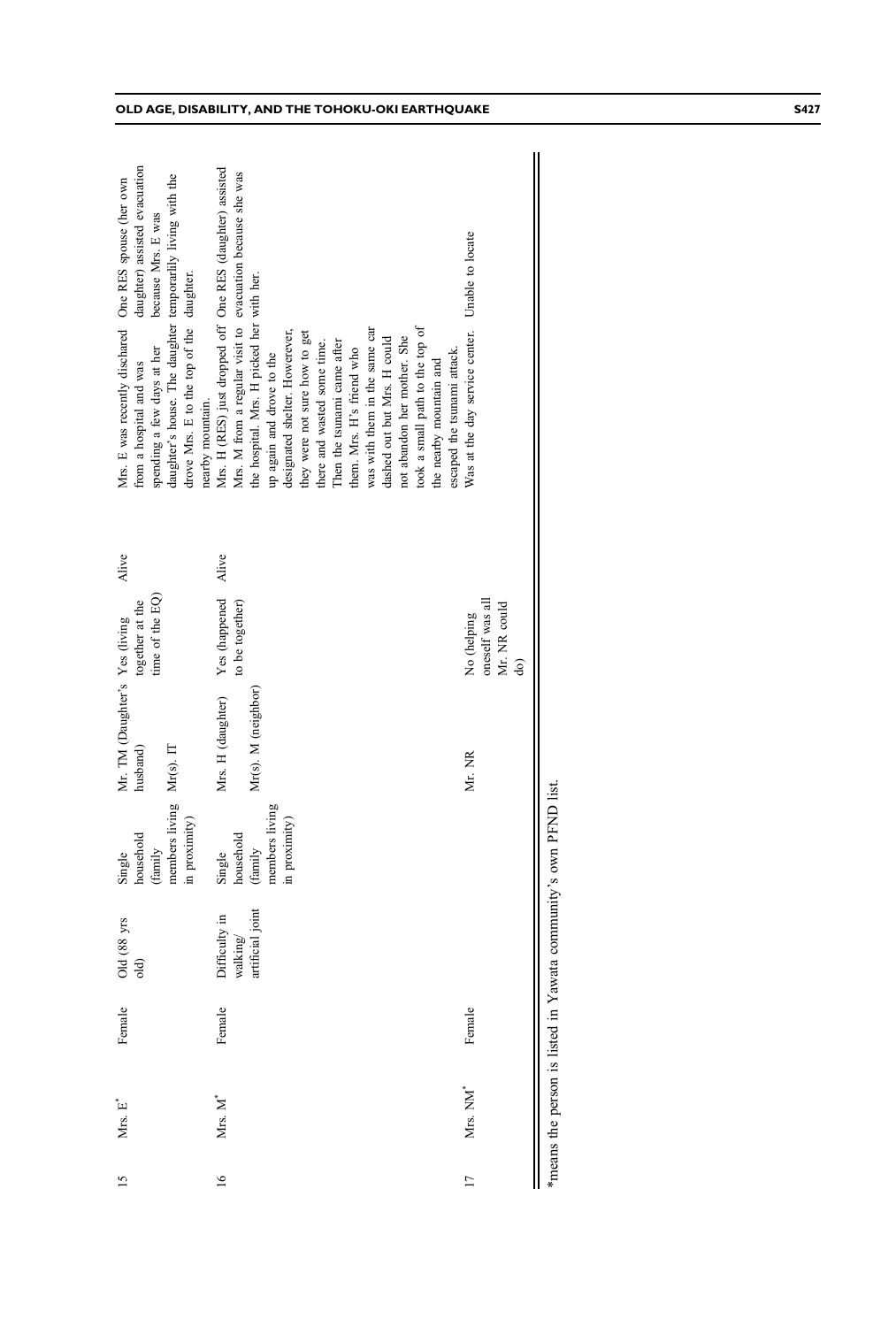| $\frac{15}{2}$ | Mrs. $\mathbb{E}^*$  | Female | Old (88 yrs                                                | Single                          | Mr. TM (Daughter's Yes (living |                                    | Alive | Mrs. E was recently dischared One RES spouse (her own                                                   |                                                     |
|----------------|----------------------|--------|------------------------------------------------------------|---------------------------------|--------------------------------|------------------------------------|-------|---------------------------------------------------------------------------------------------------------|-----------------------------------------------------|
|                |                      |        | old)                                                       | household<br>(family            | husband)                       | time of the EQ)<br>together at the |       | spending a few days at her<br>from a hospital and was                                                   | daughter) assisted evacuation<br>because Mrs. E was |
|                |                      |        |                                                            | members living<br>in proximity) | Mr(s). IT                      |                                    |       | daughter's house. The daughter temporarilly living with the<br>drove Mrs. E to the top of the daughter. |                                                     |
|                |                      |        |                                                            |                                 |                                |                                    |       | nearby mountain.                                                                                        |                                                     |
| $\frac{6}{2}$  | Mrs. M <sup>*</sup>  | Female | Difficulty in                                              | Single                          | Mrs. H (daughter)              | Yes (happened                      | Alive | Mrs. H (RES) just dropped off One RES (daughter) assisted                                               |                                                     |
|                |                      |        | artificial joint<br>$\ensuremath{\mathsf{walking}}\xspace$ | household<br>(family            | Mr(s). M (neighbor)            | to be together)                    |       | Mrs. M from a regular visit to evacuation because she was<br>the hospital. Mrs. H picked her with her.  |                                                     |
|                |                      |        |                                                            | members living                  |                                |                                    |       | up again and drove to the                                                                               |                                                     |
|                |                      |        |                                                            | in proximity)                   |                                |                                    |       | designated shelter. Howerever,                                                                          |                                                     |
|                |                      |        |                                                            |                                 |                                |                                    |       | they were not sure how to get                                                                           |                                                     |
|                |                      |        |                                                            |                                 |                                |                                    |       | there and wasted some time.                                                                             |                                                     |
|                |                      |        |                                                            |                                 |                                |                                    |       | Then the tsunami came after                                                                             |                                                     |
|                |                      |        |                                                            |                                 |                                |                                    |       | them. Mrs. H's friend who                                                                               |                                                     |
|                |                      |        |                                                            |                                 |                                |                                    |       | was with them in the same car                                                                           |                                                     |
|                |                      |        |                                                            |                                 |                                |                                    |       | dashed out but Mrs. H could                                                                             |                                                     |
|                |                      |        |                                                            |                                 |                                |                                    |       | not abandon her mother. She                                                                             |                                                     |
|                |                      |        |                                                            |                                 |                                |                                    |       | took a small path to the top of                                                                         |                                                     |
|                |                      |        |                                                            |                                 |                                |                                    |       | the nearby mountain and                                                                                 |                                                     |
|                |                      |        |                                                            |                                 |                                |                                    |       | escaped the tsunami attack.                                                                             |                                                     |
| $\overline{C}$ | Mrs. NM <sup>*</sup> | Female |                                                            |                                 | Mr. NR                         | No (helping                        |       | Was at the day service center. Unable to locate                                                         |                                                     |
|                |                      |        |                                                            |                                 |                                | oneself was all                    |       |                                                                                                         |                                                     |
|                |                      |        |                                                            |                                 |                                | Mr. NR could                       |       |                                                                                                         |                                                     |
|                |                      |        |                                                            |                                 |                                | ĝ                                  |       |                                                                                                         |                                                     |
|                |                      |        |                                                            |                                 |                                |                                    |       |                                                                                                         |                                                     |

\*means the person is listed in Yawata community's own PFND list. \*means the person is listed in Yawata community's own PFND list.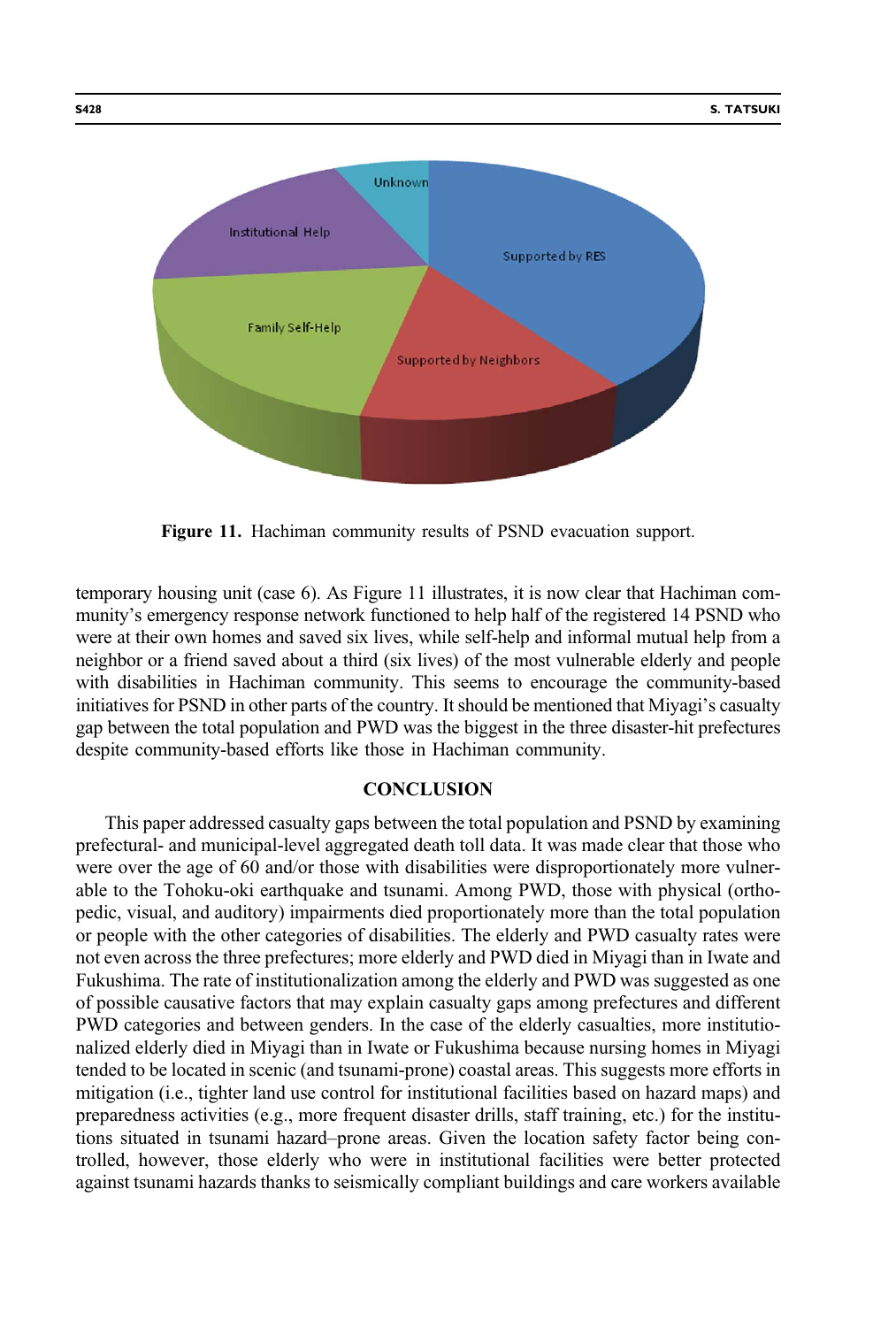

Figure 11. Hachiman community results of PSND evacuation support.

temporary housing unit (case 6). As Figure 11 illustrates, it is now clear that Hachiman community's emergency response network functioned to help half of the registered 14 PSND who were at their own homes and saved six lives, while self-help and informal mutual help from a neighbor or a friend saved about a third (six lives) of the most vulnerable elderly and people with disabilities in Hachiman community. This seems to encourage the community-based initiatives for PSND in other parts of the country. It should be mentioned that Miyagi's casualty gap between the total population and PWD was the biggest in the three disaster-hit prefectures despite community-based efforts like those in Hachiman community.

## **CONCLUSION** CONCLUSION

This paper addressed casualty gaps between the total population and PSND by examining prefectural- and municipal-level aggregated death toll data. It was made clear that those who were over the age of 60 and/or those with disabilities were disproportionately more vulnerable to the Tohoku-oki earthquake and tsunami. Among PWD, those with physical (orthopedic, visual, and auditory) impairments died proportionately more than the total population or people with the other categories of disabilities. The elderly and PWD casualty rates were not even across the three prefectures; more elderly and PWD died in Miyagi than in Iwate and Fukushima. The rate of institutionalization among the elderly and PWD was suggested as one of possible causative factors that may explain casualty gaps among prefectures and different PWD categories and between genders. In the case of the elderly casualties, more institutionalized elderly died in Miyagi than in Iwate or Fukushima because nursing homes in Miyagi tended to be located in scenic (and tsunami-prone) coastal areas. This suggests more efforts in mitigation (i.e., tighter land use control for institutional facilities based on hazard maps) and preparedness activities (e.g., more frequent disaster drills, staff training, etc.) for the institutions situated in tsunami hazard–prone areas. Given the location safety factor being controlled, however, those elderly who were in institutional facilities were better protected against tsunami hazards thanks to seismically compliant buildings and care workers available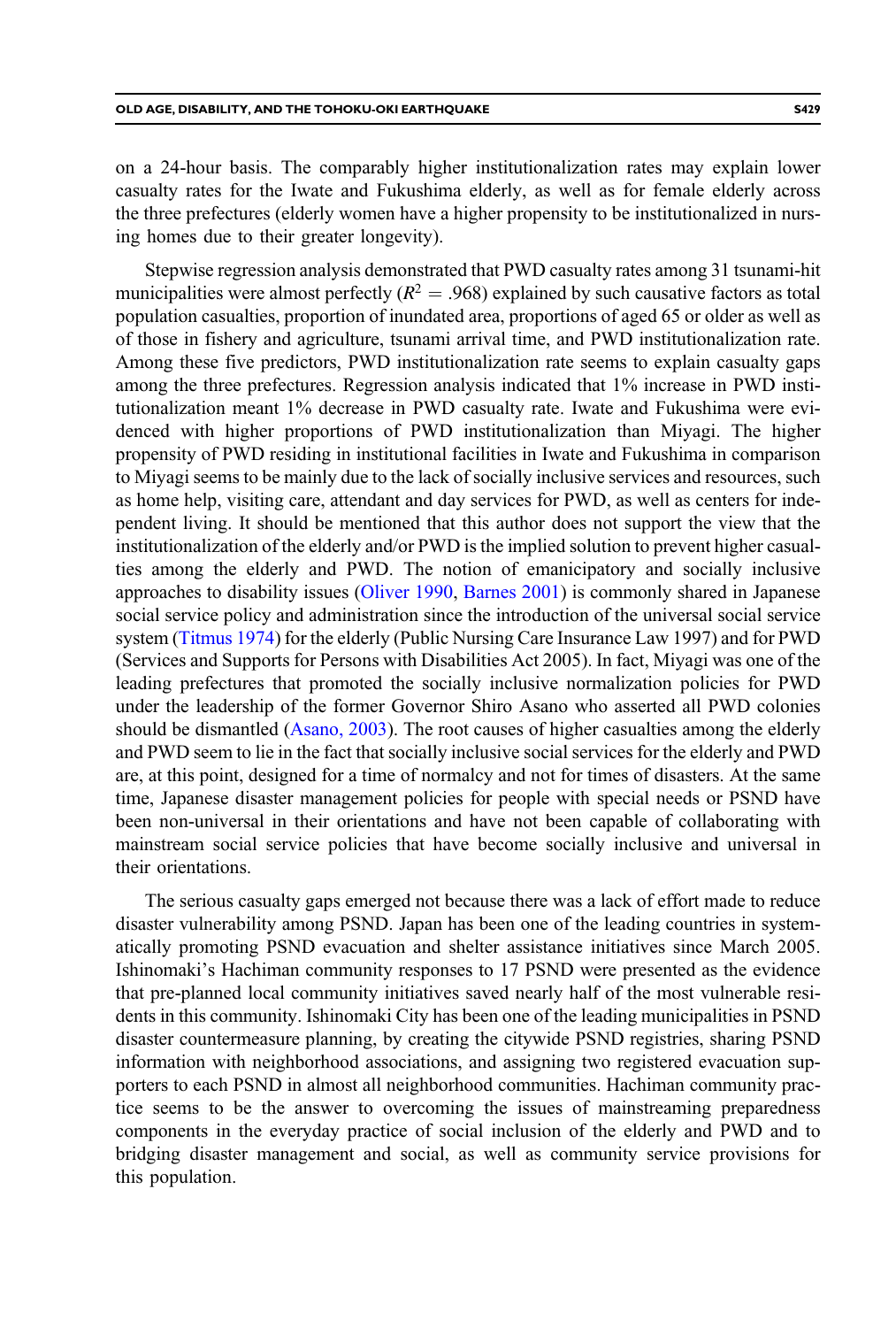on a 24-hour basis. The comparably higher institutionalization rates may explain lower casualty rates for the Iwate and Fukushima elderly, as well as for female elderly across the three prefectures (elderly women have a higher propensity to be institutionalized in nursing homes due to their greater longevity).

Stepwise regression analysis demonstrated that PWD casualty rates among 31 tsunami-hit municipalities were almost perfectly  $(R^2 = .968)$  explained by such causative factors as total population casualties, proportion of inundated area, proportions of aged 65 or older as well as of those in fishery and agriculture, tsunami arrival time, and PWD institutionalization rate. Among these five predictors, PWD institutionalization rate seems to explain casualty gaps among the three prefectures. Regression analysis indicated that 1% increase in PWD institutionalization meant 1% decrease in PWD casualty rate. Iwate and Fukushima were evidenced with higher proportions of PWD institutionalization than Miyagi. The higher propensity of PWD residing in institutional facilities in Iwate and Fukushima in comparison to Miyagi seems to be mainly due to the lack of socially inclusive services and resources, such as home help, visiting care, attendant and day services for PWD, as well as centers for independent living. It should be mentioned that this author does not support the view that the institutionalization of the elderly and/or PWD is the implied solution to prevent higher casualties among the elderly and PWD. The notion of emanicipatory and socially inclusive approaches to disability issues ([Oliver 1990,](#page-28-0) [Barnes 2001](#page-27-0)) is commonly shared in Japanese social service policy and administration since the introduction of the universal social service system ([Titmus 1974](#page-29-0)) for the elderly (Public Nursing Care Insurance Law 1997) and for PWD (Services and Supports for Persons with Disabilities Act 2005). In fact, Miyagi was one of the leading prefectures that promoted the socially inclusive normalization policies for PWD under the leadership of the former Governor Shiro Asano who asserted all PWD colonies should be dismantled [\(Asano, 2003](#page-27-0)). The root causes of higher casualties among the elderly and PWD seem to lie in the fact that socially inclusive social services for the elderly and PWD are, at this point, designed for a time of normalcy and not for times of disasters. At the same time, Japanese disaster management policies for people with special needs or PSND have been non-universal in their orientations and have not been capable of collaborating with mainstream social service policies that have become socially inclusive and universal in their orientations.

The serious casualty gaps emerged not because there was a lack of effort made to reduce disaster vulnerability among PSND. Japan has been one of the leading countries in systematically promoting PSND evacuation and shelter assistance initiatives since March 2005. Ishinomaki's Hachiman community responses to 17 PSND were presented as the evidence that pre-planned local community initiatives saved nearly half of the most vulnerable residents in this community. Ishinomaki City has been one of the leading municipalities in PSND disaster countermeasure planning, by creating the citywide PSND registries, sharing PSND information with neighborhood associations, and assigning two registered evacuation supporters to each PSND in almost all neighborhood communities. Hachiman community practice seems to be the answer to overcoming the issues of mainstreaming preparedness components in the everyday practice of social inclusion of the elderly and PWD and to bridging disaster management and social, as well as community service provisions for this population.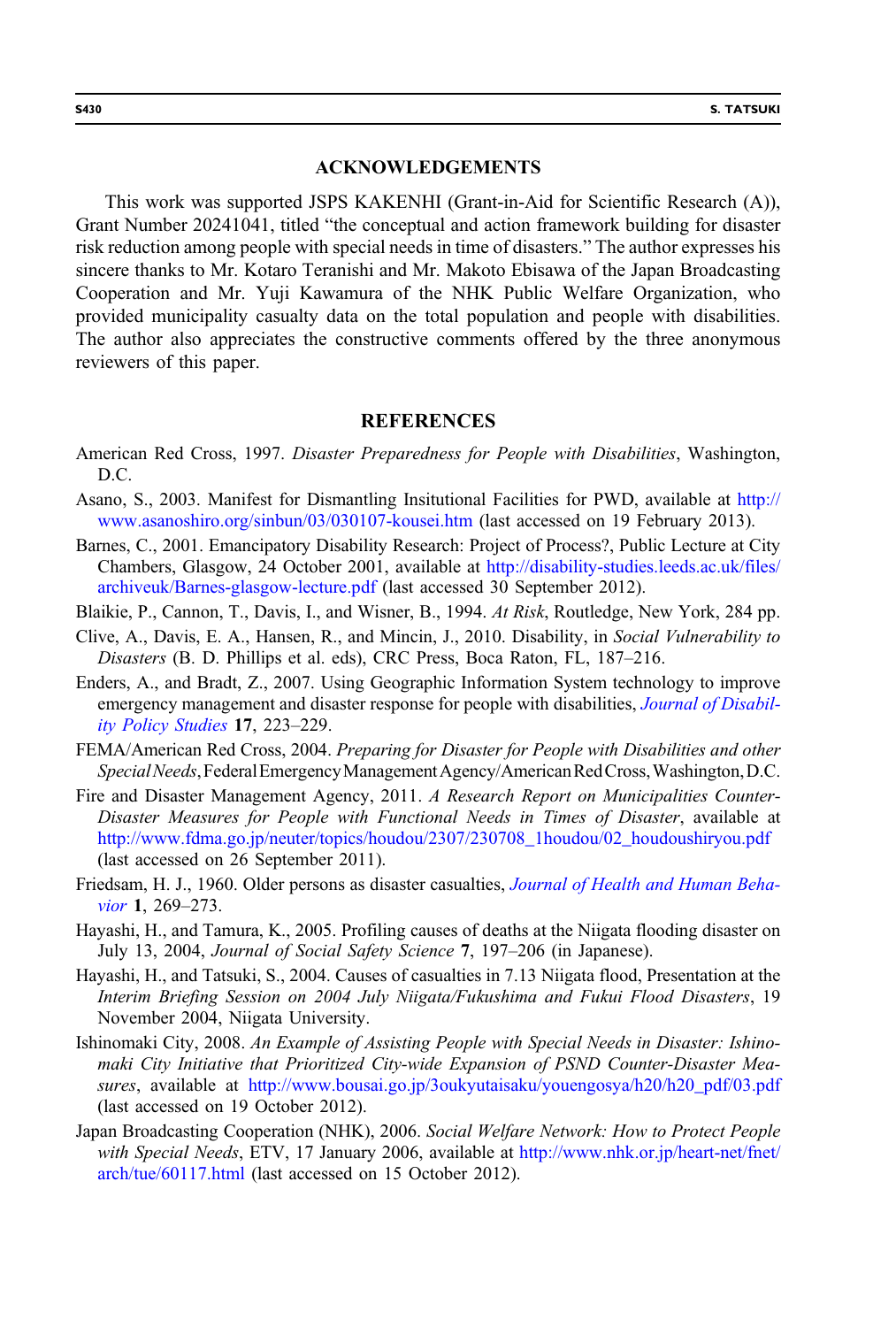## ACCEPT OF A CHAPTER COMPO

<span id="page-27-0"></span>This work was supported JSPS KAKENHI (Grant-in-Aid for Scientific Research (A)), Grant Number 20241041, titled "the conceptual and action framework building for disaster risk reduction among people with special needs in time of disasters." The author expresses his sincere thanks to Mr. Kotaro Teranishi and Mr. Makoto Ebisawa of the Japan Broadcasting Cooperation and Mr. Yuji Kawamura of the NHK Public Welfare Organization, who provided municipality casualty data on the total population and people with disabilities. The author also appreciates the constructive comments offered by the three anonymous reviewers of this paper.

## **REFERENCES** REFERENCES

- American Red Cross, 1997. Disaster Preparedness for People with Disabilities, Washington, D.C.
- Asano, S., 2003. Manifest for Dismantling Insitutional Facilities for PWD, available at [http://](http://www.asanoshiro.org/sinbun/03/030107-kousei.htm) [www.asanoshiro.org/sinbun/03/030107-kousei.htm](http://www.asanoshiro.org/sinbun/03/030107-kousei.htm) (last accessed on 19 February 2013).
- Barnes, C., 2001. Emancipatory Disability Research: Project of Process?, Public Lecture at City Chambers, Glasgow, 24 October 2001, available at [http://disability-studies.leeds.ac.uk/files/](http://disability-studies.leeds.ac.uk/files/archiveuk/Barnes-glasgow-lecture.pdf) [archiveuk/Barnes-glasgow-lecture.pdf](http://disability-studies.leeds.ac.uk/files/archiveuk/Barnes-glasgow-lecture.pdf) (last accessed 30 September 2012).
- Blaikie, P., Cannon, T., Davis, I., and Wisner, B., 1994. At Risk, Routledge, New York, 284 pp.
- Clive, A., Davis, E. A., Hansen, R., and Mincin, J., 2010. Disability, in Social Vulnerability to Disasters (B. D. Phillips et al. eds), CRC Press, Boca Raton, FL, 187–216.
- Enders, A., and Bradt, Z., 2007. Using Geographic Information System technology to improve emergency management and disaster response for people with disabilities, [Journal of Disabil](http://dx.doi.org/10.1177/10442073070170040501)[ity Policy Studies](http://dx.doi.org/10.1177/10442073070170040501) 17, 223–229.
- FEMA/American Red Cross, 2004. Preparing for Disaster for People with Disabilities and other Special Needs, Federal Emergency Management Agency/American Red Cross, Washington, D.C.
- Fire and Disaster Management Agency, 2011. A Research Report on Municipalities Counter-Disaster Measures for People with Functional Needs in Times of Disaster, available at [http://www.fdma.go.jp/neuter/topics/houdou/2307/230708\\_1houdou/02\\_houdoushiryou.pdf](http://www.fdma.go.jp/neuter/topics/houdou/2307/230708_1houdou/02_houdoushiryou.pdf) (last accessed on 26 September 2011).
- Friedsam, H. J., 1960. Older persons as disaster casualties, *[Journal of Health and Human Beha](http://dx.doi.org/10.2307/2948899)*[vior](http://dx.doi.org/10.2307/2948899) 1, 269–273.
- Hayashi, H., and Tamura, K., 2005. Profiling causes of deaths at the Niigata flooding disaster on July 13, 2004, Journal of Social Safety Science 7, 197–206 (in Japanese).
- Hayashi, H., and Tatsuki, S., 2004. Causes of casualties in 7.13 Niigata flood, Presentation at the Interim Briefing Session on 2004 July Niigata/Fukushima and Fukui Flood Disasters, 19 November 2004, Niigata University.
- Ishinomaki City, 2008. An Example of Assisting People with Special Needs in Disaster: Ishinomaki City Initiative that Prioritized City-wide Expansion of PSND Counter-Disaster Measures, available at [http://www.bousai.go.jp/3oukyutaisaku/youengosya/h20/h20\\_pdf/03.pdf](http://www.bousai.go.jp/3oukyutaisaku/youengosya/h20/h20_pdf/03.pdf) (last accessed on 19 October 2012).
- Japan Broadcasting Cooperation (NHK), 2006. Social Welfare Network: How to Protect People with Special Needs, ETV, 17 January 2006, available at [http://www.nhk.or.jp/heart-net/fnet/](http://www.nhk.or.jp/heart-net/fnet/arch/tue/60117.html) [arch/tue/60117.html](http://www.nhk.or.jp/heart-net/fnet/arch/tue/60117.html) (last accessed on 15 October 2012).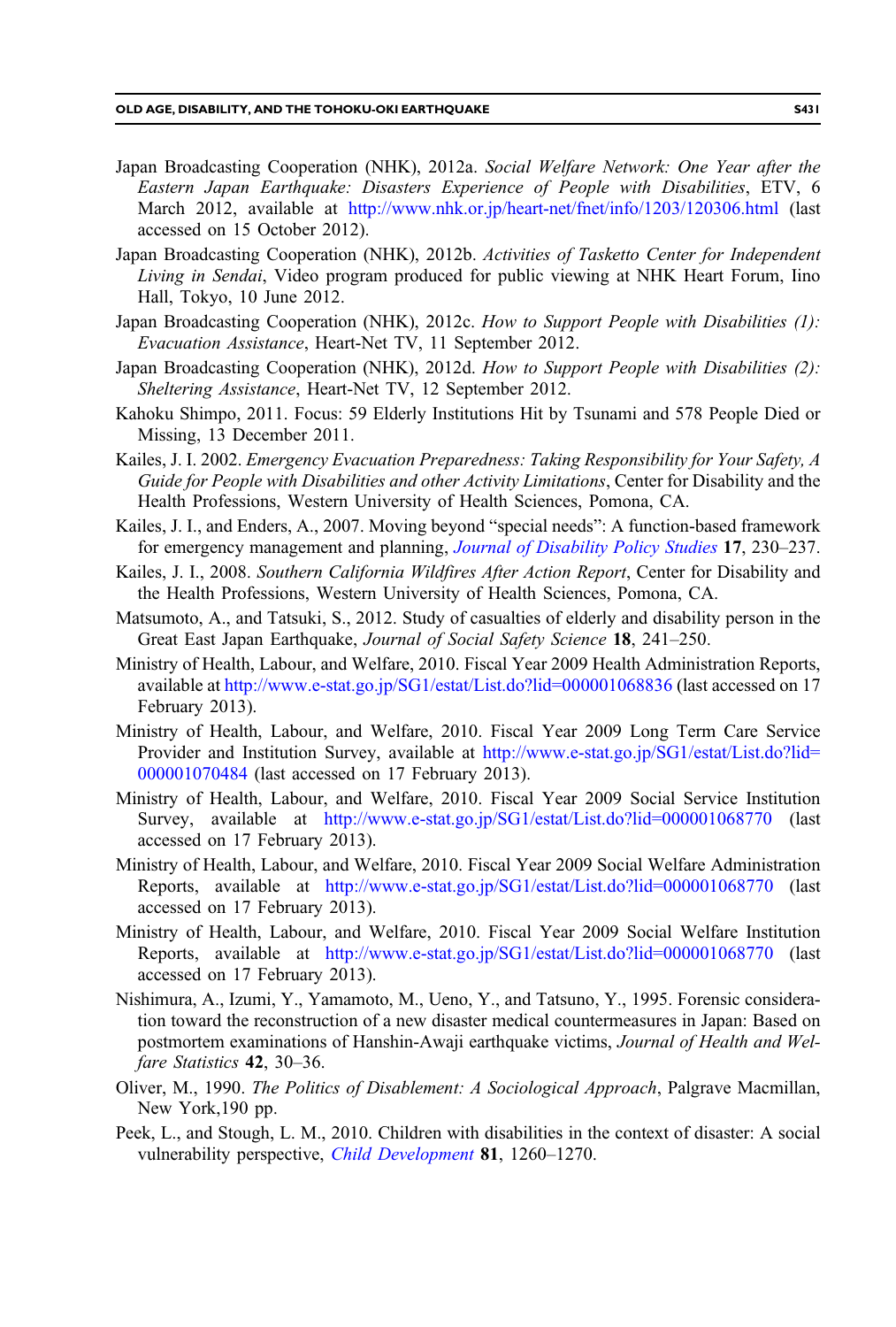- <span id="page-28-0"></span>Japan Broadcasting Cooperation (NHK), 2012a. Social Welfare Network: One Year after the Eastern Japan Earthquake: Disasters Experience of People with Disabilities, ETV, 6 March 2012, available at <http://www.nhk.or.jp/heart-net/fnet/info/1203/120306.html> (last accessed on 15 October 2012).
- Japan Broadcasting Cooperation (NHK), 2012b. Activities of Tasketto Center for Independent Living in Sendai, Video program produced for public viewing at NHK Heart Forum, Iino Hall, Tokyo, 10 June 2012.
- Japan Broadcasting Cooperation (NHK), 2012c. How to Support People with Disabilities (1): Evacuation Assistance, Heart-Net TV, 11 September 2012.
- Japan Broadcasting Cooperation (NHK), 2012d. How to Support People with Disabilities (2): Sheltering Assistance, Heart-Net TV, 12 September 2012.
- Kahoku Shimpo, 2011. Focus: 59 Elderly Institutions Hit by Tsunami and 578 People Died or Missing, 13 December 2011.
- Kailes, J. I. 2002. Emergency Evacuation Preparedness: Taking Responsibility for Your Safety, A Guide for People with Disabilities and other Activity Limitations, Center for Disability and the Health Professions, Western University of Health Sciences, Pomona, CA.
- Kailes, J. I., and Enders, A., 2007. Moving beyond "special needs": A function-based framework for emergency management and planning, [Journal of Disability Policy Studies](http://dx.doi.org/10.1177/10442073070170040601) 17, 230–237.
- Kailes, J. I., 2008. Southern California Wildfires After Action Report, Center for Disability and the Health Professions, Western University of Health Sciences, Pomona, CA.
- Matsumoto, A., and Tatsuki, S., 2012. Study of casualties of elderly and disability person in the Great East Japan Earthquake, Journal of Social Safety Science 18, 241–250.
- Ministry of Health, Labour, and Welfare, 2010. Fiscal Year 2009 Health Administration Reports, available at <http://www.e-stat.go.jp/SG1/estat/List.do?lid=000001068836> (last accessed on 17 February 2013).
- Ministry of Health, Labour, and Welfare, 2010. Fiscal Year 2009 Long Term Care Service Provider and Institution Survey, available at [http://www.e-stat.go.jp/SG1/estat/List.do?lid=](http://www.e-stat.go.jp/SG1/estat/List.do?lid=000001070484) [000001070484](http://www.e-stat.go.jp/SG1/estat/List.do?lid=000001070484) (last accessed on 17 February 2013).
- Ministry of Health, Labour, and Welfare, 2010. Fiscal Year 2009 Social Service Institution Survey, available at <http://www.e-stat.go.jp/SG1/estat/List.do?lid=000001068770> (last accessed on 17 February 2013).
- Ministry of Health, Labour, and Welfare, 2010. Fiscal Year 2009 Social Welfare Administration Reports, available at <http://www.e-stat.go.jp/SG1/estat/List.do?lid=000001068770> (last accessed on 17 February 2013).
- Ministry of Health, Labour, and Welfare, 2010. Fiscal Year 2009 Social Welfare Institution Reports, available at <http://www.e-stat.go.jp/SG1/estat/List.do?lid=000001068770> (last accessed on 17 February 2013).
- Nishimura, A., Izumi, Y., Yamamoto, M., Ueno, Y., and Tatsuno, Y., 1995. Forensic consideration toward the reconstruction of a new disaster medical countermeasures in Japan: Based on postmortem examinations of Hanshin-Awaji earthquake victims, Journal of Health and Welfare Statistics 42, 30–36.
- Oliver, M., 1990. The Politics of Disablement: A Sociological Approach, Palgrave Macmillan, New York,190 pp.
- Peek, L., and Stough, L. M., 2010. Children with disabilities in the context of disaster: A social vulnerability perspective, *[Child Development](http://dx.doi.org/10.1111/(ISSN)1467-8624)* 81, 1260–1270.